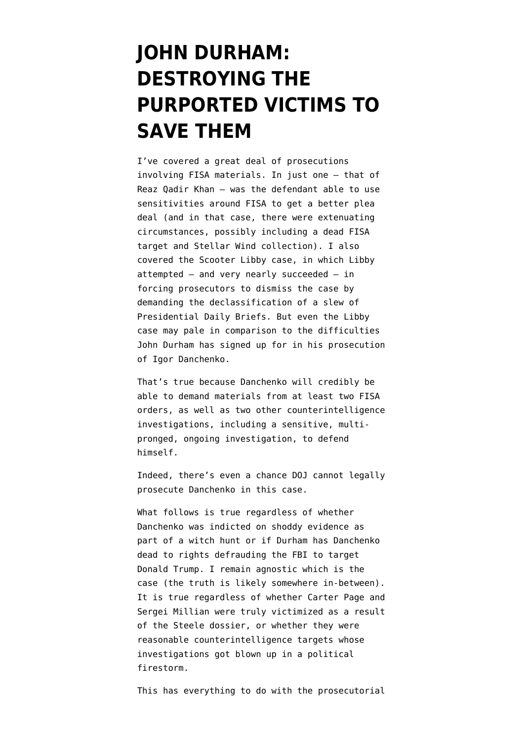# **[JOHN DURHAM:](https://www.emptywheel.net/2021/11/15/john-durham-destroying-the-purported-victims-to-save-them/) [DESTROYING THE](https://www.emptywheel.net/2021/11/15/john-durham-destroying-the-purported-victims-to-save-them/) [PURPORTED VICTIMS TO](https://www.emptywheel.net/2021/11/15/john-durham-destroying-the-purported-victims-to-save-them/) [SAVE THEM](https://www.emptywheel.net/2021/11/15/john-durham-destroying-the-purported-victims-to-save-them/)**

I've covered a great deal of prosecutions involving FISA materials. In just one — [that of](https://www.emptywheel.net/2017/09/21/a-better-example-of-article-iii-fisa-oversight-reaz-qadir-khan/) [Reaz Qadir Khan](https://www.emptywheel.net/2017/09/21/a-better-example-of-article-iii-fisa-oversight-reaz-qadir-khan/) — was the defendant able to use sensitivities around FISA to get a better plea deal (and in that case, there were extenuating circumstances, possibly including a dead FISA target and Stellar Wind collection). I also covered the Scooter Libby case, in which Libby attempted — and very nearly succeeded — in forcing prosecutors to dismiss the case by demanding the declassification of a slew of Presidential Daily Briefs. But even the Libby case may pale in comparison to the difficulties John Durham has signed up for in his prosecution of Igor Danchenko.

That's true because Danchenko will credibly be able to demand materials from at least two FISA orders, as well as two other counterintelligence investigations, including a sensitive, multipronged, ongoing investigation, to defend himself.

Indeed, there's even a chance DOJ cannot legally prosecute Danchenko in this case.

What follows is true regardless of whether Danchenko was [indicted](https://www.justice.gov/sco/press-release/file/1446386/download) on shoddy evidence as part of a witch hunt or if Durham has Danchenko dead to rights defrauding the FBI to target Donald Trump. I remain agnostic which is the case (the truth is likely somewhere in-between). It is true regardless of whether Carter Page and Sergei Millian were truly victimized as a result of the Steele dossier, or whether they were reasonable counterintelligence targets whose investigations got blown up in a political firestorm.

This has everything to do with the prosecutorial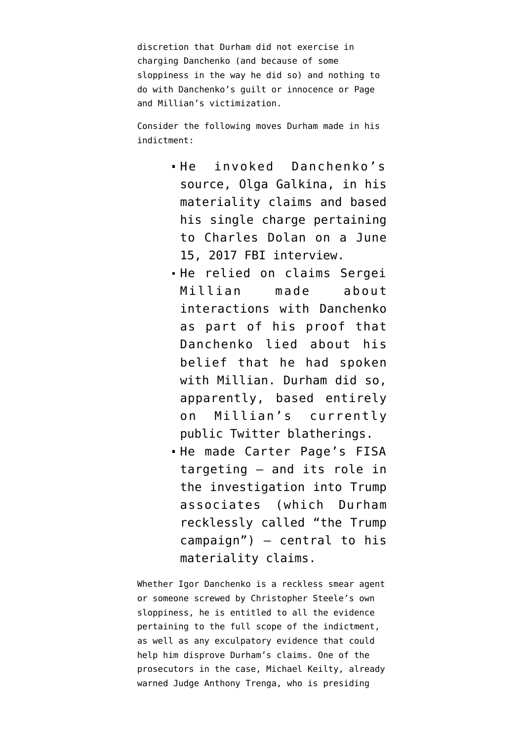discretion that Durham did not exercise in charging Danchenko (and because of some sloppiness in the way he did so) and nothing to do with Danchenko's guilt or innocence or Page and Millian's victimization.

Consider the following moves Durham made in his indictment:

- He invoked Danchenko's source, Olga Galkina, in his materiality claims and based his single charge pertaining to Charles Dolan on a June 15, 2017 FBI interview.
- He relied on claims Sergei Millian made about interactions with Danchenko as part of his proof that Danchenko lied about his belief that he had spoken with Millian. Durham did so, apparently, based entirely on Millian's currently public Twitter blatherings.
- $\blacksquare$  He made Carter Page's FISA targeting — and its role in the investigation into Trump associates (which Durham recklessly called "the Trump campaign") — central to his materiality claims.

Whether Igor Danchenko is a reckless smear agent or someone screwed by Christopher Steele's own sloppiness, he is entitled to all the evidence pertaining to the full scope of the indictment, as well as any exculpatory evidence that could help him disprove Durham's claims. One of the prosecutors in the case, Michael Keilty, already [warned](https://www.washingtonpost.com/local/legal-issues/steele-dossier-danchenko-pleads-not-guilty/2021/11/10/f1cf661e-41b7-11ec-9ea7-3eb2406a2e24_story.html) Judge Anthony Trenga, who is presiding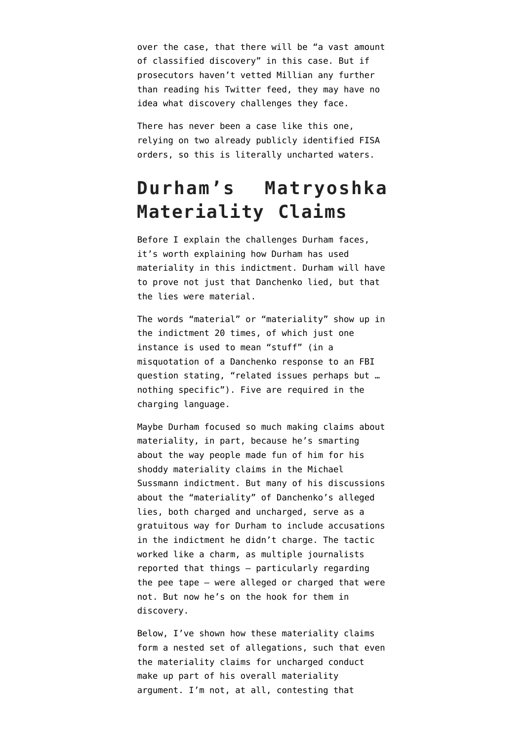over the case, that there will be "a vast amount of classified discovery" in this case. But if prosecutors haven't vetted Millian any further than reading his Twitter feed, they may have no idea what discovery challenges they face.

There has never been a case like this one, relying on two already publicly identified FISA orders, so this is literally uncharted waters.

## **Durham's Matryoshka Materiality Claims**

Before I explain the challenges Durham faces, it's worth explaining how Durham has used materiality in this indictment. Durham will have to prove not just that Danchenko lied, but that the lies were material.

The words "material" or "materiality" show up in the [indictment](https://www.justice.gov/sco/press-release/file/1446386/download) 20 times, of which just one instance is used to mean "stuff" (in a misquotation of a Danchenko response to an FBI question stating, "related issues perhaps but … nothing specific"). Five are required in the charging language.

Maybe Durham focused so much making claims about materiality, in part, because he's smarting about the way [people made fun of him](https://www.emptywheel.net/2021/10/21/john-durham-admits-he-overstated-evidence-in-his-michael-sussmann-materiality-statement/) for his shoddy materiality claims in the [Michael](https://www.documentcloud.org/documents/21080001-210916-sussmann-indictment) [Sussmann indictment](https://www.documentcloud.org/documents/21080001-210916-sussmann-indictment). But many of his discussions about the "materiality" of Danchenko's alleged lies, both charged and uncharged, serve as a gratuitous way for Durham to include accusations in the indictment he didn't charge. The tactic worked like a charm, [as multiple journalists](https://www.emptywheel.net/2021/11/11/daisy-chain-the-fbi-appears-to-have-asked-danchenko-whether-dolan-was-a-source-for-steele-not-danchenko/) [reported that things](https://www.emptywheel.net/2021/11/11/daisy-chain-the-fbi-appears-to-have-asked-danchenko-whether-dolan-was-a-source-for-steele-not-danchenko/) — particularly regarding the pee tape — were alleged or charged that were not. But now he's on the hook for them in discovery.

Below, I've shown how these materiality claims form a nested set of allegations, such that even the materiality claims for uncharged conduct make up part of his overall materiality argument. I'm not, at all, contesting that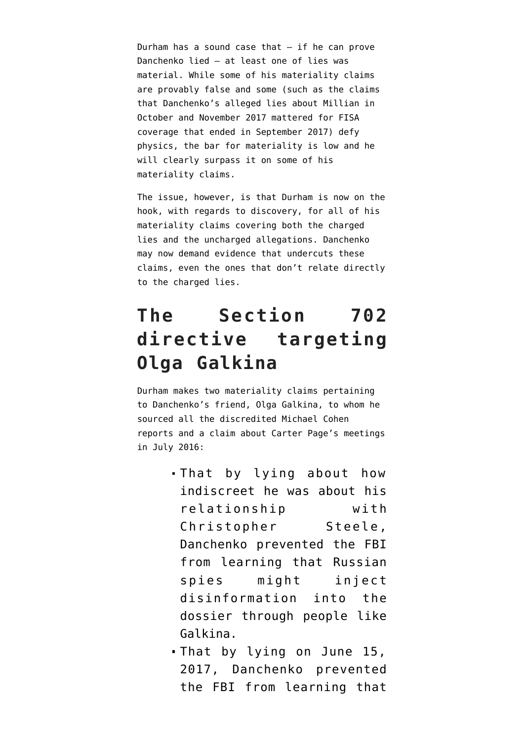Durham has a sound case that  $-$  if he can prove Danchenko lied — at least one of lies was material. While some of his materiality claims are provably false and some (such as the claims that Danchenko's alleged lies about Millian in October and November 2017 mattered for FISA coverage that ended in September 2017) defy physics, the bar for materiality is low and he will clearly surpass it on some of his materiality claims.

The issue, however, is that Durham is now on the hook, with regards to discovery, for all of his materiality claims covering both the charged lies and the uncharged allegations. Danchenko may now demand evidence that undercuts these claims, even the ones that don't relate directly to the charged lies.

## **The Section 702 directive targeting Olga Galkina**

Durham makes two materiality claims pertaining to Danchenko's friend, Olga Galkina, to whom he sourced all the discredited Michael Cohen reports and a claim about Carter Page's meetings in July 2016:

- That by lying about how indiscreet he was about his relationship with Christopher Steele, Danchenko prevented the FBI from learning that Russian spies might inject disinformation into the dossier through people like Galkina.
- That by lying on June 15, 2017, Danchenko prevented the FBI from learning that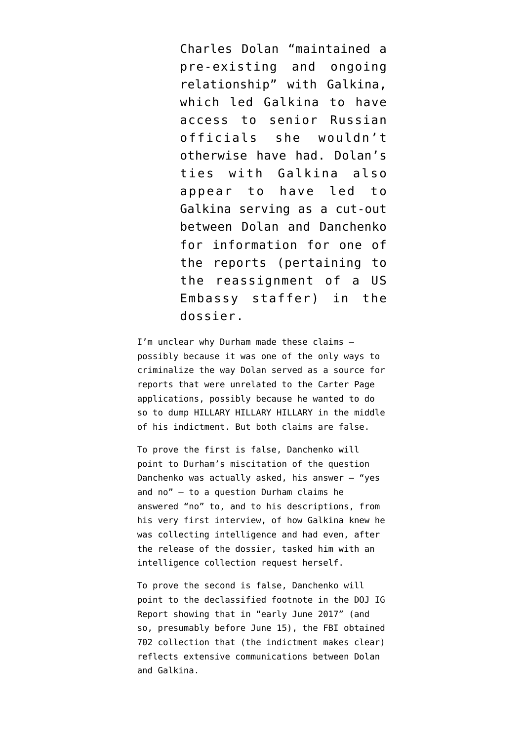Charles Dolan "maintained a pre-existing and ongoing relationship" with Galkina, which led Galkina to have access to senior Russian officials she wouldn't otherwise have had. Dolan's ties with Galkina also appear to have led to Galkina serving as a cut-out between Dolan and Danchenko for information for one of the reports (pertaining to the reassignment of a US Embassy staffer) in the dossier.

I'm unclear why Durham made these claims possibly because it was one of the only ways to criminalize the way Dolan served as a source for reports that were unrelated to the Carter Page applications, possibly because he wanted to do so to dump HILLARY HILLARY HILLARY in the middle of his indictment. But both claims are false.

To prove the first is false, Danchenko will point to Durham's [miscitation of the question](https://www.emptywheel.net/2021/11/08/yes-and-no-john-durham-claims-an-answer-about-intelligence-collection-covers-all-networking/) Danchenko was actually asked, his answer — "yes and no" — to a question Durham claims he answered "no" to, and to his descriptions, from his very first interview, of how Galkina knew he was collecting intelligence and had even, after the release of the dossier, tasked him with an intelligence collection request herself.

To prove the second is false, Danchenko will point to [the declassified footnote](https://www.emptywheel.net/wp-content/uploads/2020/04/200415-DOJ-IG-Footnotes.pdf) in the DOJ IG Report showing that in "early June 2017" (and so, presumably before June 15), the FBI [obtained](https://www.emptywheel.net/2021/11/07/john-durham-may-have-made-igor-danchenko-aggrieved-under-fisa/) [702 collection](https://www.emptywheel.net/2021/11/07/john-durham-may-have-made-igor-danchenko-aggrieved-under-fisa/) that (the indictment makes clear) reflects extensive communications between Dolan and Galkina.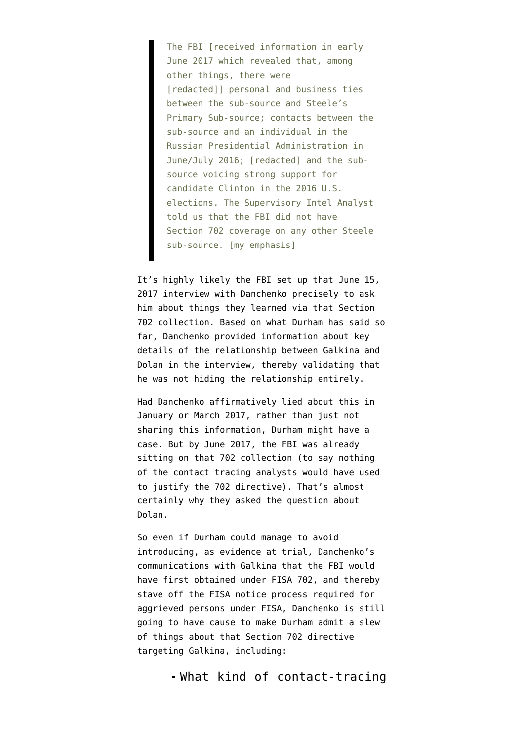The FBI [received information in early June 2017 which revealed that, among other things, there were [redacted]] personal and business ties between the sub-source and Steele's Primary Sub-source; contacts between the sub-source and an individual in the Russian Presidential Administration in June/July 2016; [redacted] and the sub‐ source voicing strong support for candidate Clinton in the 2016 U.S. elections. The Supervisory Intel Analyst told us that the FBI did not have Section 702 coverage on any other Steele sub‐source. [my emphasis]

It's highly likely the FBI set up that June 15, 2017 interview with Danchenko precisely to ask him about things they learned via that Section 702 collection. Based on what Durham has said so far, Danchenko provided information about key details of the relationship between Galkina and Dolan in the interview, thereby validating that he was not hiding the relationship entirely.

Had Danchenko affirmatively lied about this in January or March 2017, rather than just not sharing this information, Durham might have a case. But by June 2017, the FBI was already sitting on that 702 collection (to say nothing of the contact tracing analysts would have used to justify the 702 directive). That's almost certainly why they asked the question about Dolan.

So even if Durham could manage to avoid introducing, as evidence at trial, Danchenko's communications with Galkina that the FBI would have first obtained under FISA 702, and thereby [stave off the FISA notice process](https://www.emptywheel.net/2021/11/07/john-durham-may-have-made-igor-danchenko-aggrieved-under-fisa/) required for aggrieved persons under FISA, Danchenko is still going to have cause to make Durham admit a slew of things about that Section 702 directive targeting Galkina, including:

What kind of contact-tracing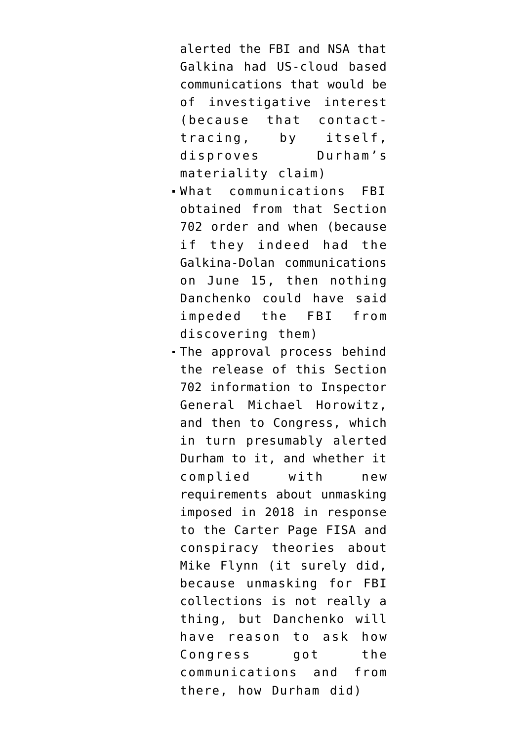alerted the FBI and NSA that Galkina had US-cloud based communications that would be of investigative interest (because that contacttracing, by itself, disproves Durham's materiality claim)

- What communications FBI obtained from that Section 702 order and when (because if they indeed had the Galkina-Dolan communications on June 15, then nothing Danchenko could have said impeded the FBI from discovering them)
- The approval process behind the release of this Section 702 information to Inspector General Michael Horowitz, and then to Congress, which in turn presumably alerted Durham to it, and whether it complied with new requirements about unmasking imposed in 2018 in response to the Carter Page FISA and conspiracy theories about Mike Flynn (it surely did, because unmasking for FBI collections is not really a thing, but Danchenko will have reason to ask how Congress got the communications and from there, how Durham did)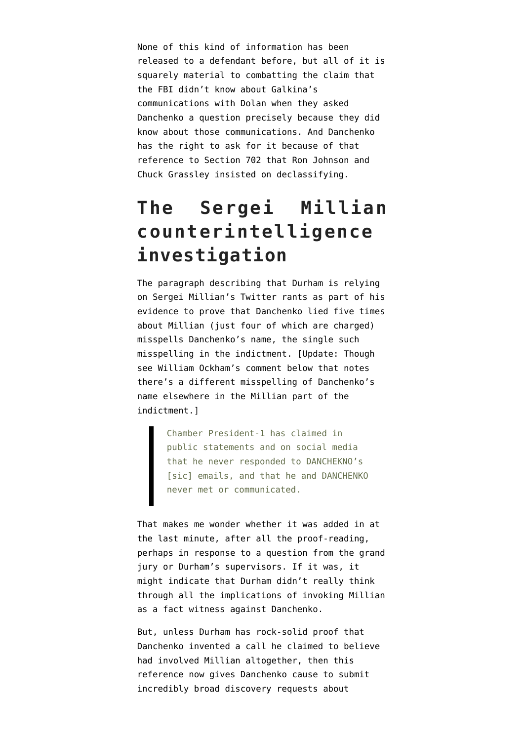None of this kind of information has been released to a defendant before, but all of it is squarely material to combatting the claim that the FBI didn't know about Galkina's communications with Dolan when they asked Danchenko a question precisely because they did know about those communications. And Danchenko has the right to ask for it because of that reference to Section 702 that Ron Johnson and Chuck Grassley insisted on declassifying.

# **The Sergei Millian counterintelligence investigation**

The paragraph describing that Durham is relying on [Sergei Millian's Twitter rants](https://www.emptywheel.net/2021/11/12/source-6a-john-durhams-twitter-charges/) as part of his evidence to prove that Danchenko lied five times about Millian (just four of which are charged) misspells Danchenko's name, the single such misspelling in the indictment. [Update: Though see William Ockham's comment below that notes there's a different misspelling of Danchenko's name elsewhere in the Millian part of the indictment.]

> Chamber President-1 has claimed in public statements and on social media that he never responded to DANCHEKNO's [sic] emails, and that he and DANCHENKO never met or communicated.

That makes me wonder whether it was added in at the last minute, after all the proof-reading, perhaps in response to a question from the grand jury or Durham's supervisors. If it was, it might indicate that Durham didn't really think through all the implications of invoking Millian as a fact witness against Danchenko.

But, unless Durham has rock-solid proof that Danchenko invented a call he claimed to believe had involved Millian altogether, then this reference now gives Danchenko cause to submit incredibly broad discovery requests about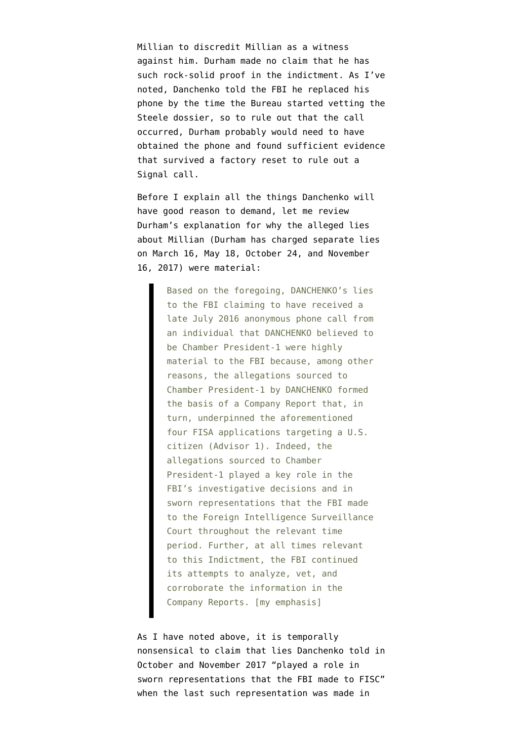Millian to discredit Millian as a witness against him. Durham made no claim that he has such rock-solid proof in the indictment. As I've noted, Danchenko told the FBI he replaced his phone by the time the Bureau started vetting the Steele dossier, so to rule out that the call occurred, Durham probably would need to have obtained the phone and found sufficient evidence that survived a factory reset to rule out a Signal call.

Before I explain all the things Danchenko will have good reason to demand, let me review Durham's explanation for why the alleged lies about Millian (Durham has charged separate lies on March 16, May 18, October 24, and November 16, 2017) were material:

> Based on the foregoing, DANCHENKO's lies to the FBI claiming to have received a late July 2016 anonymous phone call from an individual that DANCHENKO believed to be Chamber President-1 were highly material to the FBI because, among other reasons, the allegations sourced to Chamber President-1 by DANCHENKO formed the basis of a Company Report that, in turn, underpinned the aforementioned four FISA applications targeting a U.S. citizen (Advisor 1). Indeed, the allegations sourced to Chamber President-1 played a key role in the FBI's investigative decisions and in sworn representations that the FBI made to the Foreign Intelligence Surveillance Court throughout the relevant time period. Further, at all times relevant to this Indictment, the FBI continued its attempts to analyze, vet, and corroborate the information in the Company Reports. [my emphasis]

As I have noted above, it is temporally nonsensical to claim that lies Danchenko told in October and November 2017 "played a role in sworn representations that the FBI made to FISC" when the last such representation was made in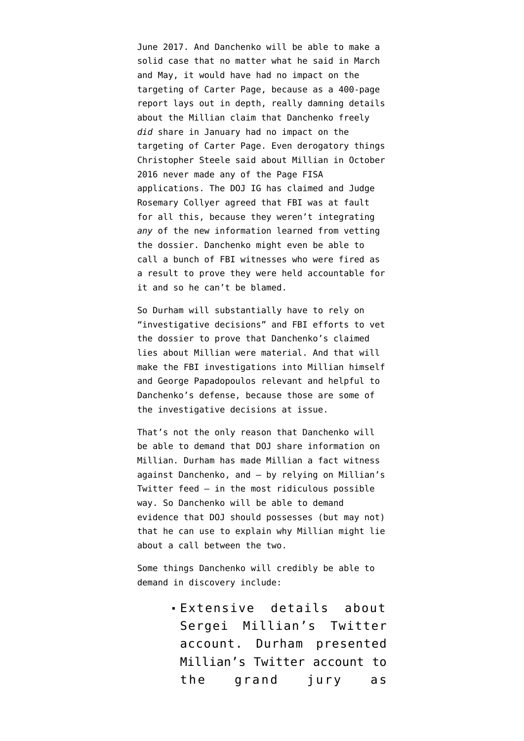June 2017. And Danchenko will be able to make a solid case that no matter what he said in March and May, it would have had no impact on the targeting of Carter Page, because [as a 400-page](https://www.justice.gov/storage/120919-examination.pdf) [report lays out in depth,](https://www.justice.gov/storage/120919-examination.pdf) really damning details about the Millian claim that Danchenko freely *did* share in January had no impact on the targeting of Carter Page. Even derogatory things Christopher Steele said about Millian in October 2016 never made any of the Page FISA applications. The DOJ IG has claimed and Judge Rosemary Collyer [agreed](https://www.fisc.uscourts.gov/sites/default/files/MIsc%2019%2002%20191217.pdf) that FBI was at fault for all this, because they weren't integrating *any* of the new information learned from vetting the dossier. Danchenko might even be able to call a bunch of FBI witnesses who were fired as a result to prove they were held accountable for it and so he can't be blamed.

So Durham will substantially have to rely on "investigative decisions" and FBI efforts to vet the dossier to prove that Danchenko's claimed lies about Millian were material. And that will make the FBI investigations into Millian himself and George Papadopoulos relevant and helpful to Danchenko's defense, because those are some of the investigative decisions at issue.

That's not the only reason that Danchenko will be able to demand that DOJ share information on Millian. Durham has made Millian a fact witness against Danchenko, and — by relying on Millian's Twitter feed — in the most ridiculous possible way. So Danchenko will be able to demand evidence that DOJ should possesses (but may not) that he can use to explain why Millian might lie about a call between the two.

Some things Danchenko will credibly be able to demand in discovery include:

> Extensive details about Sergei Millian's Twitter account. Durham presented Millian's Twitter account to the grand jury as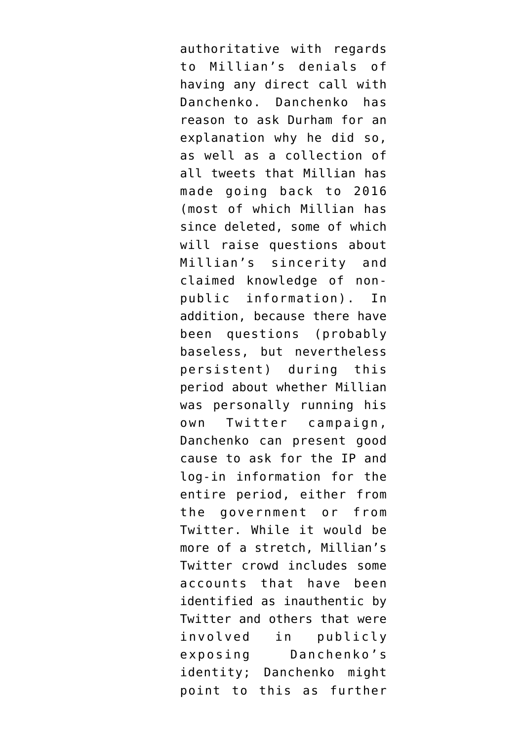authoritative with regards to Millian's denials of having any direct call with Danchenko. Danchenko has reason to ask Durham for an explanation why he did so, as well as a collection of all tweets that Millian has made going back to 2016 (most of which Millian has since deleted, some of which will raise questions about Millian's sincerity and claimed knowledge of nonpublic information). In addition, because there have been questions (probably baseless, but nevertheless persistent) during this period about whether Millian was personally running his own Twitter campaign, Danchenko can present good cause to ask for the IP and log-in information for the entire period, either from the government or from Twitter. While it would be more of a stretch, Millian's Twitter crowd includes some accounts that have been identified as inauthentic by Twitter and others that were involved in publicly exposing Danchenko's identity; Danchenko might point to this as further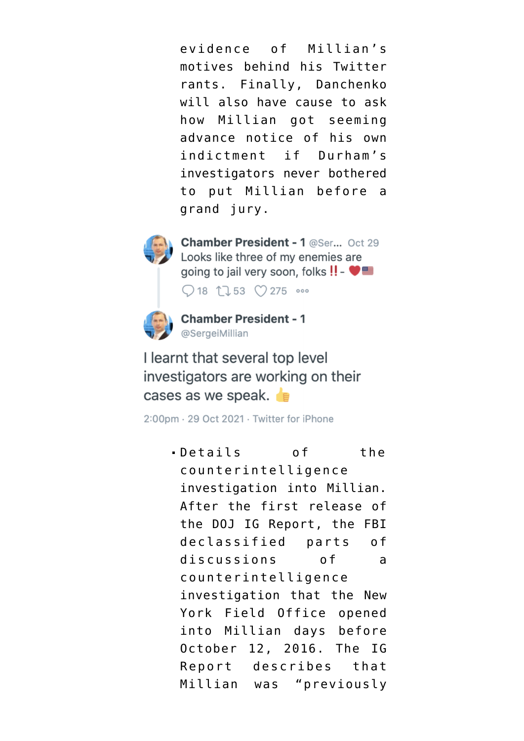evidence of Millian's motives behind his Twitter rants. Finally, Danchenko will also have cause to ask how Millian got seeming advance notice of his own indictment if Durham's investigators never bothered to put Millian before a grand jury.



Chamber President - 1 @Ser... Oct 29 Looks like three of my enemies are going to jail very soon, folks !! - ♥■

 $Q$  18 1  $153$   $Q$  275  $\circ$ 



**Chamber President - 1** @SergeiMillian

I learnt that several top level investigators are working on their cases as we speak.

2:00pm · 29 Oct 2021 · Twitter for iPhone

Details of the counterintelligence investigation into Millian. After the first release of the DOJ IG Report, the FBI declassified parts of discussions of a counterintelligence investigation that the New York Field Office opened into Millian days before October 12, 2016. The IG Report describes that Millian was "previously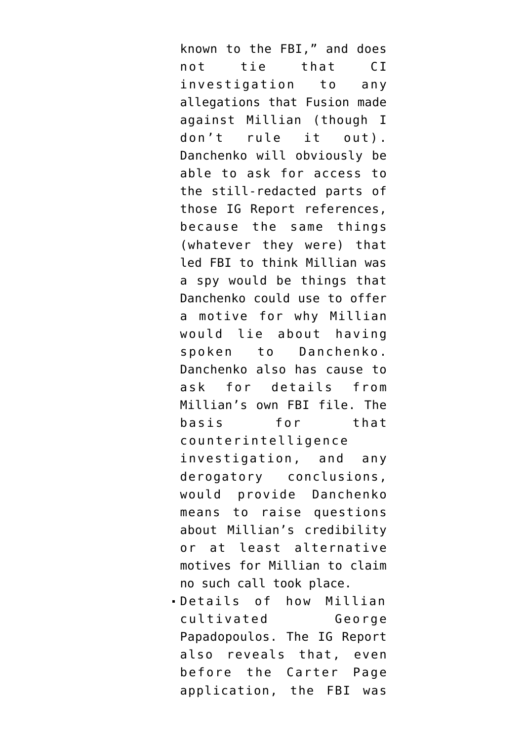known to the FBI," and does not tie that CI investigation to any allegations that Fusion made against Millian (though I don't rule it out). Danchenko will obviously be able to ask for access to the still-redacted parts of those IG Report references, because the same things (whatever they were) that led FBI to think Millian was a spy would be things that Danchenko could use to offer a motive for why Millian would lie about having spoken to Danchenko. Danchenko also has cause to ask for details from Millian's own FBI file. The basis for that counterintelligence investigation, and any derogatory conclusions, would provide Danchenko means to raise questions about Millian's credibility or at least alternative motives for Millian to claim no such call took place.

Details of how Millian cultivated George Papadopoulos. The IG Report also reveals that, even before the Carter Page application, the FBI was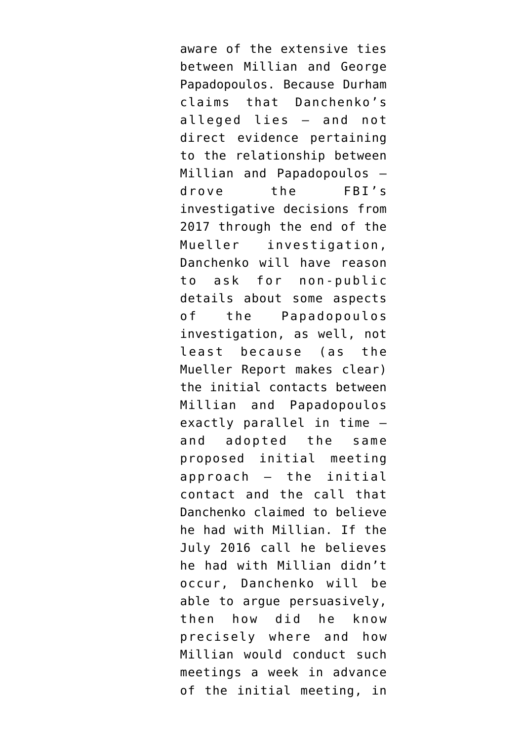aware of the extensive ties between Millian and George Papadopoulos. Because Durham claims that Danchenko's alleged lies — and not direct evidence pertaining to the relationship between Millian and Papadopoulos drove the FBI's investigative decisions from 2017 through the end of the Mueller investigation, Danchenko will have reason to ask for non-public details about some aspects of the Papadopoulos investigation, as well, not least because ([as the](https://www.documentcloud.org/documents/6002293-190322-Redacted-Mueller-Report#document/p102/a2064932) [Mueller Report makes clear](https://www.documentcloud.org/documents/6002293-190322-Redacted-Mueller-Report#document/p102/a2064932)) the initial contacts between Millian and Papadopoulos exactly parallel in time and adopted the same proposed initial meeting approach — the initial contact and the call that Danchenko claimed to believe he had with Millian. If the July 2016 call he believes he had with Millian didn't occur, Danchenko will be able to argue persuasively, then how did he know precisely where and how Millian would conduct such meetings a week in advance of the initial meeting, in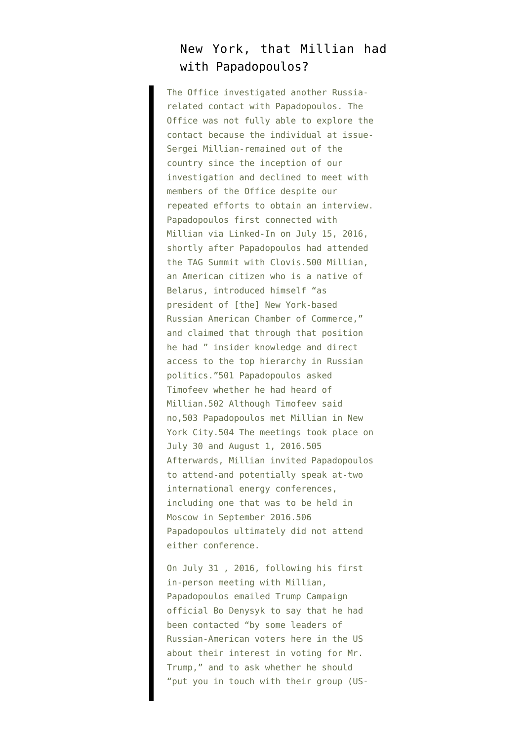#### New York, that Millian had with Papadopoulos?

The Office investigated another Russiarelated contact with Papadopoulos. The Office was not fully able to explore the contact because the individual at issue-Sergei Millian-remained out of the country since the inception of our investigation and declined to meet with members of the Office despite our repeated efforts to obtain an interview. Papadopoulos first connected with Millian via Linked-In on July 15, 2016, shortly after Papadopoulos had attended the TAG Summit with Clovis.500 Millian, an American citizen who is a native of Belarus, introduced himself "as president of [the] New York-based Russian American Chamber of Commerce," and claimed that through that position he had " insider knowledge and direct access to the top hierarchy in Russian politics."501 Papadopoulos asked Timofeev whether he had heard of Millian.502 Although Timofeev said no,503 Papadopoulos met Millian in New York City.504 The meetings took place on July 30 and August 1, 2016.505 Afterwards, Millian invited Papadopoulos to attend-and potentially speak at-two international energy conferences, including one that was to be held in Moscow in September 2016.506 Papadopoulos ultimately did not attend either conference.

On July 31 , 2016, following his first in-person meeting with Millian, Papadopoulos emailed Trump Campaign official Bo Denysyk to say that he had been contacted "by some leaders of Russian-American voters here in the US about their interest in voting for Mr. Trump," and to ask whether he should "put you in touch with their group (US-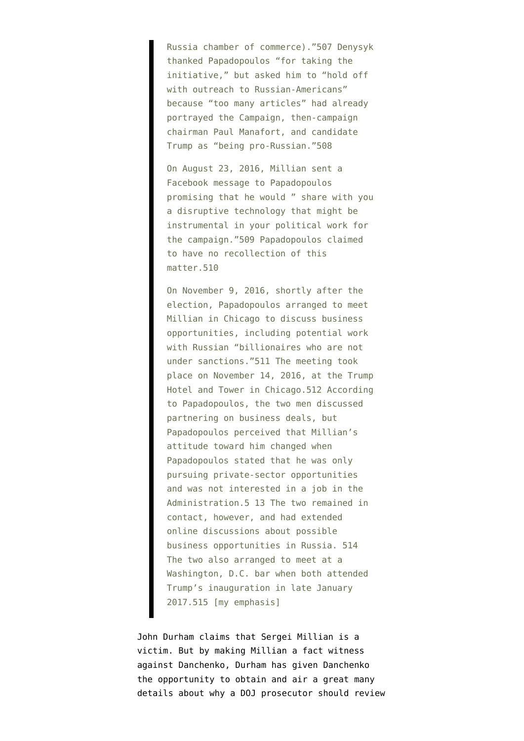Russia chamber of commerce)."507 Denysyk thanked Papadopoulos "for taking the initiative," but asked him to "hold off with outreach to Russian-Americans" because "too many articles" had already portrayed the Campaign, then-campaign chairman Paul Manafort, and candidate Trump as "being pro-Russian."508

On August 23, 2016, Millian sent a Facebook message to Papadopoulos promising that he would " share with you a disruptive technology that might be instrumental in your political work for the campaign."509 Papadopoulos claimed to have no recollection of this matter.510

On November 9, 2016, shortly after the election, Papadopoulos arranged to meet Millian in Chicago to discuss business opportunities, including potential work with Russian "billionaires who are not under sanctions."511 The meeting took place on November 14, 2016, at the Trump Hotel and Tower in Chicago.512 According to Papadopoulos, the two men discussed partnering on business deals, but Papadopoulos perceived that Millian's attitude toward him changed when Papadopoulos stated that he was only pursuing private-sector opportunities and was not interested in a job in the Administration.5 13 The two remained in contact, however, and had extended online discussions about possible business opportunities in Russia. 514 The two also arranged to meet at a Washington, D.C. bar when both attended Trump's inauguration in late January 2017.515 [my emphasis]

John Durham claims that Sergei Millian is a victim. But by making Millian a fact witness against Danchenko, Durham has given Danchenko the opportunity to obtain and air a great many details about why a DOJ prosecutor should review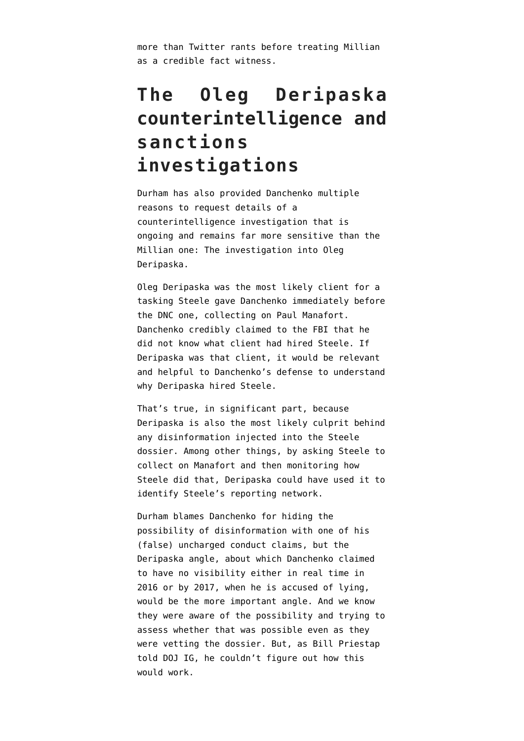more than Twitter rants before treating Millian as a credible fact witness.

## **The Oleg Deripaska counterintelligence and sanctions investigations**

Durham has also provided Danchenko multiple reasons to request details of a counterintelligence investigation that is ongoing and remains far more sensitive than the Millian one: The investigation into Oleg Deripaska.

Oleg Deripaska was the most likely client for a tasking Steele gave Danchenko immediately before the DNC one, collecting on Paul Manafort. Danchenko credibly claimed to the FBI that he did not know what client had hired Steele. If Deripaska was that client, it would be relevant and helpful to Danchenko's defense to understand why Deripaska hired Steele.

That's true, in significant part, because Deripaska [is also the most likely culprit](https://www.emptywheel.net/2021/05/23/you-cannot-discuss-disinformation-and-the-steele-dossier-without-discussing-oleg-deripaska/) behind any disinformation injected into the Steele dossier. Among other things, by asking Steele to collect on Manafort and then monitoring how Steele did that, Deripaska could have used it to identify Steele's reporting network.

Durham blames Danchenko for hiding the possibility of disinformation with one of his (false) uncharged conduct claims, but the Deripaska angle, about which Danchenko claimed to have no visibility either in real time in 2016 or by 2017, when he is accused of lying, would be the more important angle. And we know they were aware of the possibility and trying to assess whether that was possible even as they were vetting the dossier. But, as Bill Priestap told DOJ IG, he couldn't figure out how this would work.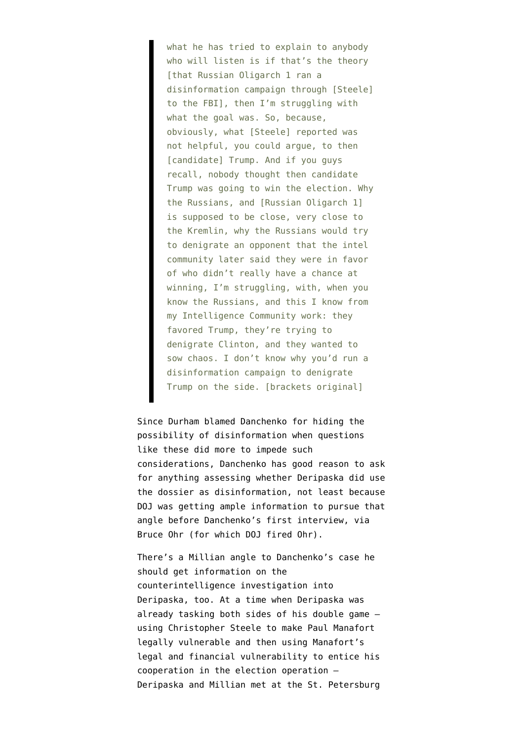what he has tried to explain to anybody who will listen is if that's the theory [that Russian Oligarch 1 ran a disinformation campaign through [Steele] to the FBI], then I'm struggling with what the goal was. So, because, obviously, what [Steele] reported was not helpful, you could argue, to then [candidate] Trump. And if you guys recall, nobody thought then candidate Trump was going to win the election. Why the Russians, and [Russian Oligarch 1] is supposed to be close, very close to the Kremlin, why the Russians would try to denigrate an opponent that the intel community later said they were in favor of who didn't really have a chance at winning, I'm struggling, with, when you know the Russians, and this I know from my Intelligence Community work: they favored Trump, they're trying to denigrate Clinton, and they wanted to sow chaos. I don't know why you'd run a disinformation campaign to denigrate Trump on the side. [brackets original]

Since Durham blamed Danchenko for hiding the possibility of disinformation when questions like these did more to impede such considerations, Danchenko has good reason to ask for anything assessing whether Deripaska did use the dossier as disinformation, not least because DOJ was getting ample information to pursue that angle before Danchenko's first interview, [via](https://www.emptywheel.net/2019/12/28/fact-witness-how-rod-rosenstein-got-doj-ig-to-land-a-plane-on-bruce-ohr/) [Bruce Ohr](https://www.emptywheel.net/2019/12/28/fact-witness-how-rod-rosenstein-got-doj-ig-to-land-a-plane-on-bruce-ohr/) (for which DOJ fired Ohr).

There's a Millian angle to Danchenko's case he should get information on the counterintelligence investigation into Deripaska, too. At a time when Deripaska was already [tasking both sides of his double game](https://www.emptywheel.net/2020/01/02/deza-oleg-deripaskas-double-game/) using Christopher Steele to make Paul Manafort legally vulnerable and then using Manafort's legal and financial vulnerability to entice his cooperation in the election operation — Deripaska and Millian met at the St. Petersburg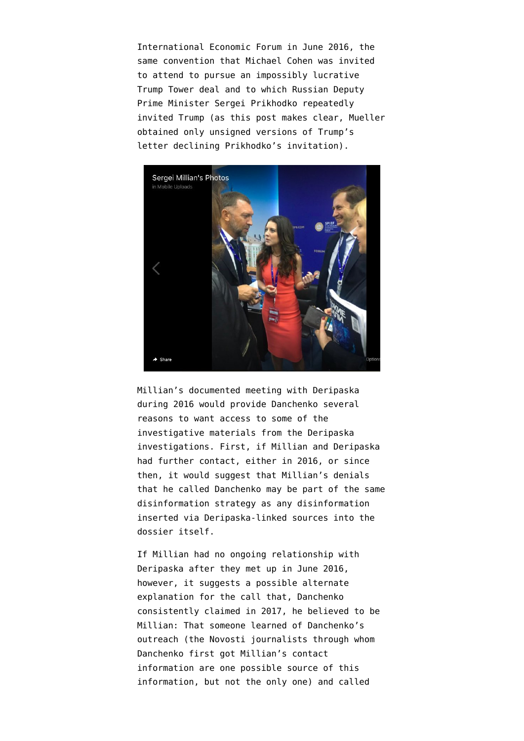International Economic Forum in June 2016, the same convention that Michael Cohen was invited to attend to pursue an impossibly lucrative Trump Tower deal and to which Russian Deputy Prime Minister Sergei Prikhodko [repeatedly](https://www.documentcloud.org/documents/6002293-190322-Redacted-Mueller-Report#document/p87/a2064933) [invited Trump](https://www.documentcloud.org/documents/6002293-190322-Redacted-Mueller-Report#document/p87/a2064933) (as [this post makes clear,](https://www.emptywheel.net/2019/04/27/the-never-declined-invitation-from-deputy-prime-minister-sergei-prikhodko/) Mueller obtained only unsigned versions of Trump's letter declining Prikhodko's invitation).



Millian's documented meeting with Deripaska during 2016 would provide Danchenko several reasons to want access to some of the investigative materials from the Deripaska investigations. First, if Millian and Deripaska had further contact, either in 2016, or since then, it would suggest that Millian's denials that he called Danchenko may be part of the same disinformation strategy as any disinformation inserted via Deripaska-linked sources into the dossier itself.

If Millian had no ongoing relationship with Deripaska after they met up in June 2016, however, it suggests a possible alternate explanation for the call that, Danchenko consistently claimed in 2017, he believed to be Millian: That someone learned of Danchenko's outreach (the Novosti journalists through whom Danchenko first got Millian's contact information are one possible source of this information, but not the only one) and called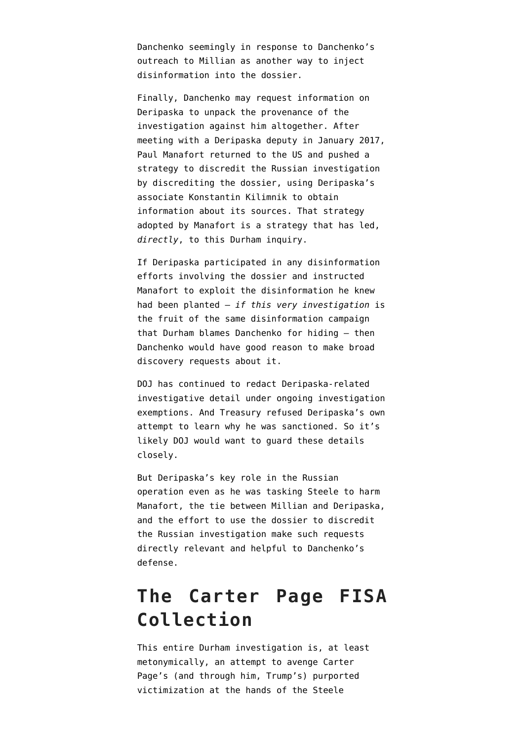Danchenko seemingly in response to Danchenko's outreach to Millian as another way to inject disinformation into the dossier.

Finally, Danchenko may request information on Deripaska to unpack the provenance of the investigation against him altogether. After meeting with a Deripaska deputy in January 2017, Paul Manafort returned to the US and pushed a strategy to discredit the Russian investigation by discrediting the dossier, using Deripaska's associate Konstantin Kilimnik to obtain information about its sources. That strategy adopted by Manafort is a strategy that has led, *directly*, to this Durham inquiry.

If Deripaska participated in any disinformation efforts involving the dossier and instructed Manafort to exploit the disinformation he knew had been planted — *if this very investigation* is the fruit of the same disinformation campaign that Durham blames Danchenko for hiding — then Danchenko would have good reason to make broad discovery requests about it.

DOJ [has continued to redact](https://www.emptywheel.net/2021/08/06/the-still-active-konstantin-kilimnik-investigation/) Deripaska-related investigative detail under ongoing investigation exemptions. And Treasury refused Deripaska's own attempt to learn why he was sanctioned. So it's likely DOJ would want to guard these details closely.

But Deripaska's key role in the Russian operation even as he was tasking Steele to harm Manafort, the tie between Millian and Deripaska, and the effort to use the dossier to discredit the Russian investigation make such requests directly relevant and helpful to Danchenko's defense.

#### **The Carter Page FISA Collection**

This entire Durham investigation is, at least metonymically, an attempt to avenge Carter Page's (and through him, Trump's) purported victimization at the hands of the Steele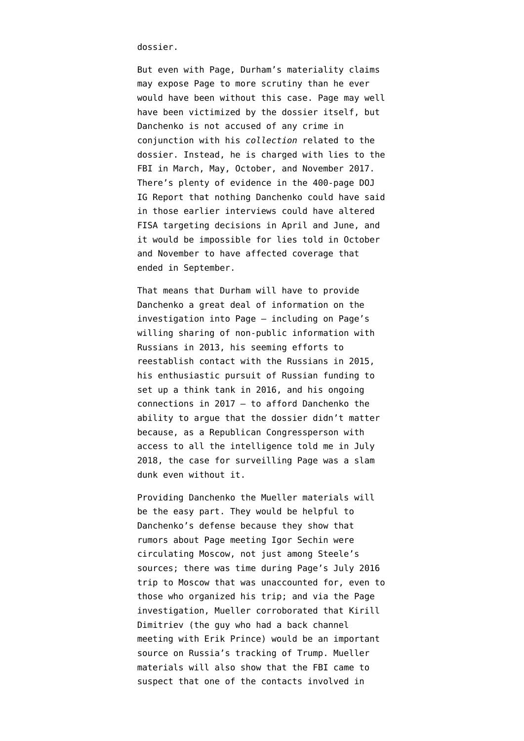dossier.

But even with Page, Durham's materiality claims may expose Page to more scrutiny than he ever would have been without this case. Page may well have been victimized by the dossier itself, but Danchenko is not accused of any crime in conjunction with his *collection* related to the dossier. Instead, he is charged with lies to the FBI in March, May, October, and November 2017. There's plenty of evidence in the 400-page DOJ IG Report that nothing Danchenko could have said in those earlier interviews could have altered FISA targeting decisions in April and June, and it would be impossible for lies told in October and November to have affected coverage that ended in September.

That means that Durham will have to provide Danchenko a great deal of information on the investigation into Page — including on Page's willing sharing of non-public information with Russians in 2013, his seeming efforts to reestablish contact with the Russians in 2015, his enthusiastic pursuit of Russian funding to set up a think tank in 2016, and his ongoing connections in 2017 — to afford Danchenko the ability to argue that the dossier didn't matter because, as a Republican Congressperson with access to all the intelligence told me in July 2018, the case for surveilling Page was a slam dunk even without it.

Providing Danchenko the Mueller materials will be the easy part. They would be helpful to Danchenko's defense because [they show](https://www.emptywheel.net/2020/03/05/driving-carter-page-what-the-302-says/) that rumors about Page meeting Igor Sechin were circulating Moscow, not just among Steele's sources; there was time during Page's July 2016 trip to Moscow that was unaccounted for, even to those who organized his trip; and via the Page investigation, Mueller corroborated that Kirill Dimitriev (the guy who had a back channel meeting with Erik Prince) would be an important source on Russia's tracking of Trump. Mueller materials will also show that the [FBI came to](https://www.documentcloud.org/documents/6842430-170629-Carter-Page-FISA-Application#document/p20/a560515) [suspect](https://www.documentcloud.org/documents/6842430-170629-Carter-Page-FISA-Application#document/p20/a560515) that one of the contacts involved in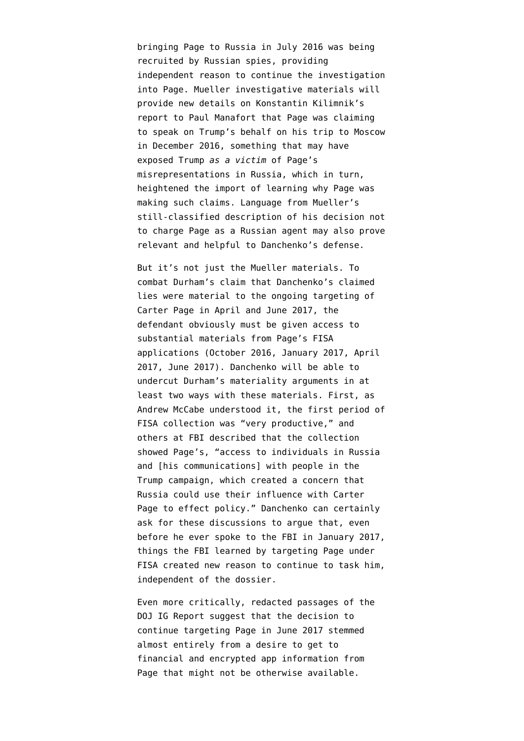bringing Page to Russia in July 2016 was being recruited by Russian spies, providing independent reason to continue the investigation into Page. Mueller investigative materials will provide new details on Konstantin Kilimnik's report to Paul Manafort that Page was [claiming](https://www.documentcloud.org/documents/20401920-201102-mueller-report#document/p175/a2006281) [to speak on Trump's behalf](https://www.documentcloud.org/documents/20401920-201102-mueller-report#document/p175/a2006281) on his trip to Moscow in December 2016, something that may have exposed Trump *as a victim* of Page's misrepresentations in Russia, which in turn, heightened the import of learning why Page was making such claims. Language from Mueller's [still-classified description](https://www.documentcloud.org/documents/20401920-201102-mueller-report#document/p192/a2064984) of his decision not to charge Page as a Russian agent may also prove relevant and helpful to Danchenko's defense.

But it's not just the Mueller materials. To combat Durham's claim that Danchenko's claimed lies were material to the ongoing targeting of Carter Page in April and June 2017, the defendant obviously must be given access to substantial materials from Page's FISA applications [\(October 2016,](https://www.documentcloud.org/documents/6842432-161021-Carter-Page-FISA-Application) [January 2017,](https://www.documentcloud.org/documents/6842433-170112-Carter-Page-FISA-Application) [April](https://www.documentcloud.org/documents/6842434-170407-Carter-Page-FISA-Application) [2017](https://www.documentcloud.org/documents/6842434-170407-Carter-Page-FISA-Application), [June 2017\)](https://www.documentcloud.org/documents/6842430-170629-Carter-Page-FISA-Application). Danchenko will be able to undercut Durham's materiality arguments in at least two ways with these materials. First, as Andrew McCabe understood it, the first period of FISA collection was "very productive," and others at FBI described that the collection showed Page's, "access to individuals in Russia and [his communications] with people in the Trump campaign, which created a concern that Russia could use their influence with Carter Page to effect policy." Danchenko can certainly ask for these discussions to argue that, even before he ever spoke to the FBI in January 2017, things the FBI learned by targeting Page under FISA created new reason to continue to task him, independent of the dossier.

Even more critically, redacted passages of the DOJ IG Report suggest that the decision to continue targeting Page in June 2017 stemmed almost entirely from a desire to get to financial and encrypted app information from Page that might not be otherwise available.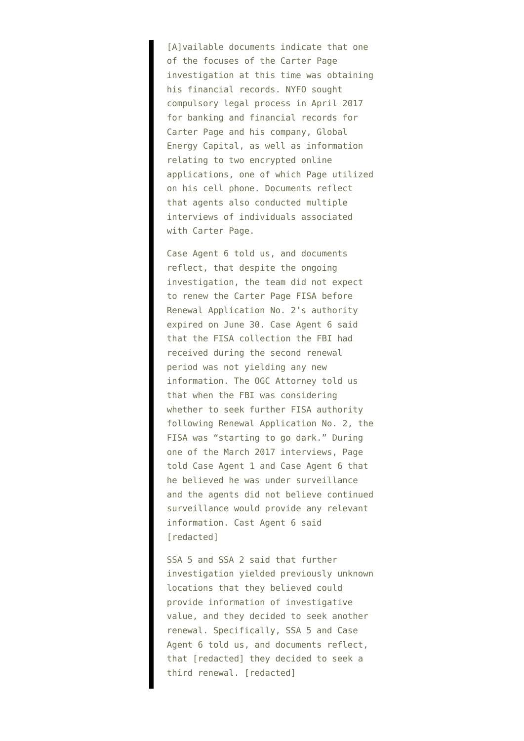[A]vailable documents indicate that one of the focuses of the Carter Page investigation at this time was obtaining his financial records. NYFO sought compulsory legal process in April 2017 for banking and financial records for Carter Page and his company, Global Energy Capital, as well as information relating to two encrypted online applications, one of which Page utilized on his cell phone. Documents reflect that agents also conducted multiple interviews of individuals associated with Carter Page.

Case Agent 6 told us, and documents reflect, that despite the ongoing investigation, the team did not expect to renew the Carter Page FISA before Renewal Application No. 2's authority expired on June 30. Case Agent 6 said that the FISA collection the FBI had received during the second renewal period was not yielding any new information. The OGC Attorney told us that when the FBI was considering whether to seek further FISA authority following Renewal Application No. 2, the FISA was "starting to go dark." During one of the March 2017 interviews, Page told Case Agent 1 and Case Agent 6 that he believed he was under surveillance and the agents did not believe continued surveillance would provide any relevant information. Cast Agent 6 said [redacted]

SSA 5 and SSA 2 said that further investigation yielded previously unknown locations that they believed could provide information of investigative value, and they decided to seek another renewal. Specifically, SSA 5 and Case Agent 6 told us, and documents reflect, that [redacted] they decided to seek a third renewal. [redacted]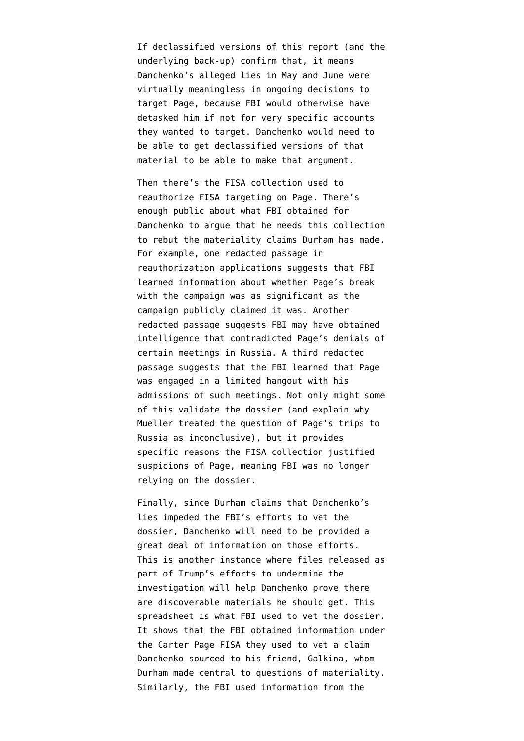If declassified versions of this report (and the underlying back-up) confirm that, it means Danchenko's alleged lies in May and June were virtually meaningless in ongoing decisions to target Page, because FBI would otherwise have detasked him if not for very specific accounts they wanted to target. Danchenko would need to be able to get declassified versions of that material to be able to make that argument.

Then there's the FISA collection used to reauthorize FISA targeting on Page. There's enough public about what FBI obtained for Danchenko to argue that he needs this collection to rebut the materiality claims Durham has made. For example, [one redacted passage](https://www.documentcloud.org/documents/6842430-170629-Carter-Page-FISA-Application#document/p56/a560537) in reauthorization applications suggests that FBI learned information about whether Page's break with the campaign was as significant as the campaign publicly claimed it was. Another [redacted passage](https://www.documentcloud.org/documents/6842430-170629-Carter-Page-FISA-Application#document/p35/a560524) suggests FBI may have obtained intelligence that contradicted Page's denials of certain meetings in Russia. A third [redacted](https://www.documentcloud.org/documents/6842430-170629-Carter-Page-FISA-Application#document/p54/a560535) [passage](https://www.documentcloud.org/documents/6842430-170629-Carter-Page-FISA-Application#document/p54/a560535) suggests that the FBI learned that Page was engaged in a limited hangout with his admissions of such meetings. Not only might some of this validate the dossier (and explain why Mueller treated the question of Page's trips to Russia as inconclusive), but it provides specific reasons the FISA collection justified suspicions of Page, meaning FBI was no longer relying on the dossier.

Finally, since Durham claims that Danchenko's lies impeded the FBI's efforts to vet the dossier, Danchenko will need to be provided a great deal of information on those efforts. This is another instance where files released as part of Trump's efforts to undermine the investigation will help Danchenko prove there are discoverable materials he should get. This [spreadsheet](https://www.documentcloud.org/documents/20396375-201013-steele-spreadsheet-1) is what FBI used to vet the dossier. It shows that the FBI [obtained information](https://www.documentcloud.org/documents/20396375-201013-steele-spreadsheet-1#document/p13/a2002986) under the Carter Page FISA they used to vet a claim Danchenko sourced to his friend, Galkina, whom Durham made central to questions of materiality. Similarly, the FBI [used information](https://www.documentcloud.org/documents/20396375-201013-steele-spreadsheet-1#document/p14/a2002987) from the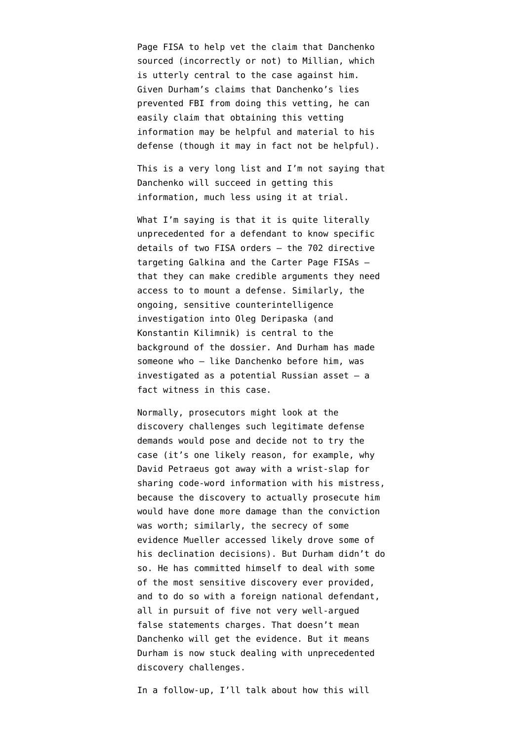Page FISA to help vet the claim that Danchenko sourced (incorrectly or not) to Millian, which is utterly central to the case against him. Given Durham's claims that Danchenko's lies prevented FBI from doing this vetting, he can easily claim that obtaining this vetting information may be helpful and material to his defense (though it may in fact not be helpful).

This is a very long list and I'm not saying that Danchenko will succeed in getting this information, much less using it at trial.

What I'm saying is that it is quite literally unprecedented for a defendant to know specific details of two FISA orders — the 702 directive targeting Galkina and the Carter Page FISAs that they can make credible arguments they need access to to mount a defense. Similarly, the ongoing, sensitive counterintelligence investigation into Oleg Deripaska (and Konstantin Kilimnik) is central to the background of the dossier. And Durham has made someone who — like Danchenko before him, was investigated as a potential Russian asset — a fact witness in this case.

Normally, prosecutors might look at the discovery challenges such legitimate defense demands would pose and decide not to try the case (it's one likely reason, for example, why David Petraeus got away with a wrist-slap for sharing code-word information with his mistress, because the discovery to actually prosecute him would have done more damage than the conviction was worth; similarly, the secrecy of some evidence Mueller accessed likely drove some of his declination decisions). But Durham didn't do so. He has committed himself to deal with some of the most sensitive discovery ever provided, and to do so with a foreign national defendant, all in pursuit of five not very well-argued false statements charges. That doesn't mean Danchenko will get the evidence. But it means Durham is now stuck dealing with unprecedented discovery challenges.

In a follow-up, I'll talk about how this will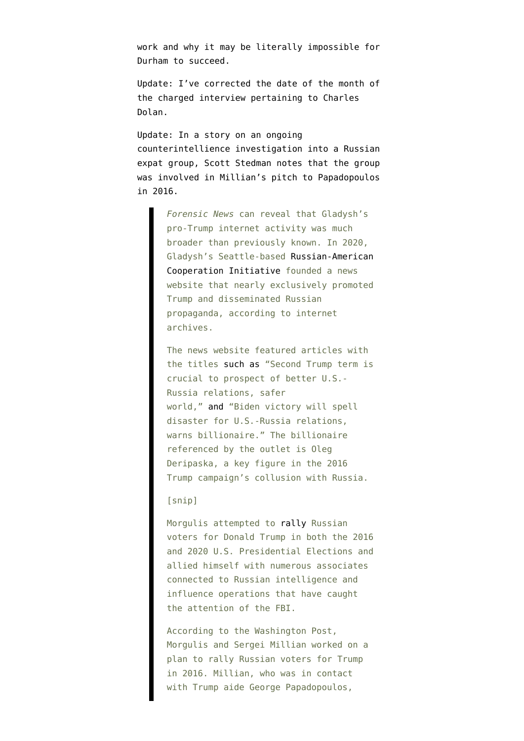work and why it may be literally impossible for Durham to succeed.

Update: I've corrected the date of the month of the charged interview pertaining to Charles Dolan.

Update: In a [story](https://forensicnews.net/fbi-investigates-russian-diaspora-group-for-potential-espionage-unregistered-political-activity/) on an ongoing counterintellience investigation into a Russian expat group, Scott Stedman notes that the group was involved in Millian's pitch to Papadopoulos in 2016.

> *Forensic News* can reveal that Gladysh's pro-Trump internet activity was much broader than previously known. In 2020, Gladysh's Seattle-based [Russian-American](https://russiausa.org/) [Cooperation Initiative](https://russiausa.org/) founded a news website that nearly exclusively promoted Trump and disseminated Russian propaganda, according to internet archives.

> The news website featured articles with the titles [such as](https://russianamerican.org/tpost/hv86u9v1ox-biden-victory-will-spell-disaster-for-us) "Second Trump term is crucial to prospect of better U.S.- Russia relations, safer world," [and](https://web.archive.org/web/20200809134100/https://russianamerican.org/tpost/hv86u9v1ox-biden-victory-will-spell-disaster-for-us) "Biden victory will spell disaster for U.S.-Russia relations, warns billionaire." The billionaire referenced by the outlet is Oleg Deripaska, a key figure in the 2016 Trump campaign's collusion with Russia.

#### [snip]

Morgulis attempted to [rally](https://www.washingtonpost.com/politics/sergei-millian-trump/2019/02/06/c7465a52-ec19-11e8-8679-934a2b33be52_story.html) Russian voters for Donald Trump in both the 2016 and 2020 U.S. Presidential Elections and allied himself with numerous associates connected to Russian intelligence and influence operations that have caught the attention of the FBI.

According to the Washington Post, Morgulis and Sergei Millian worked on a plan to rally Russian voters for Trump in 2016. Millian, who was in contact with Trump aide George Papadopoulos,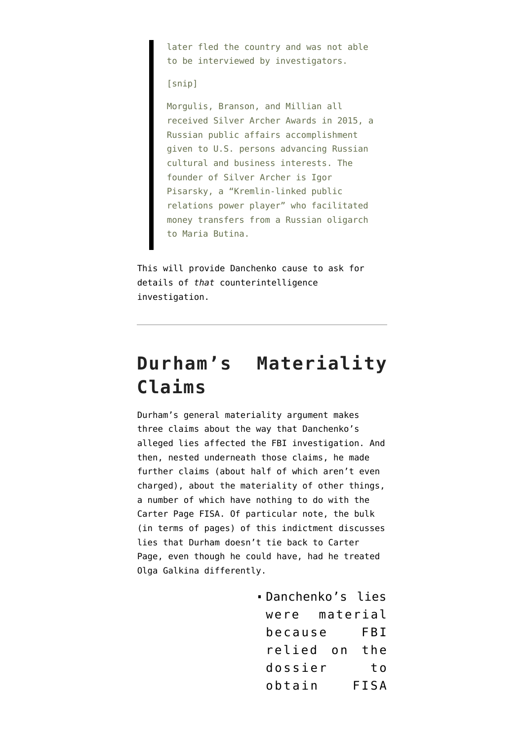later fled the country and was not able to be interviewed by investigators.

[snip]

Morgulis, Branson, and Millian all received Silver Archer Awards in 2015, a Russian public affairs accomplishment given to U.S. persons advancing Russian cultural and business interests. The founder of Silver Archer is Igor Pisarsky, a "Kremlin-linked public relations power player" who facilitated money transfers from a Russian oligarch to Maria Butina.

This will provide Danchenko cause to ask for details of *that* counterintelligence investigation.

#### **Durham's Materiality Claims**

Durham's general materiality argument makes three claims about the way that Danchenko's alleged lies affected the FBI investigation. And then, nested underneath those claims, he made further claims (about half of which aren't even charged), about the materiality of other things, a number of which have nothing to do with the Carter Page FISA. Of particular note, the bulk (in terms of pages) of this indictment discusses lies that Durham doesn't tie back to Carter Page, even though he could have, had he treated Olga Galkina differently.

> Danchenko's lies were material because FBI relied on the dossier to obtain FISA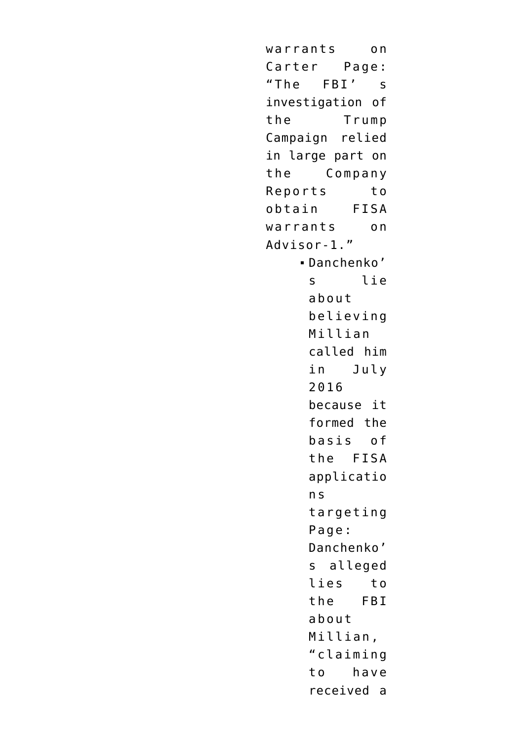warrants on Carter Page: "The FBI' s investigation of the Trump Campaign relied in large part on the Company Reports to obtain FISA warrants on Advisor-1." Danchenko' s lie about believing Millian called him in July 2016 because it formed the basis of the FISA applicatio n s targeting Page: Danchenko' s alleged lies to the FBI about Millian, "claiming to have received a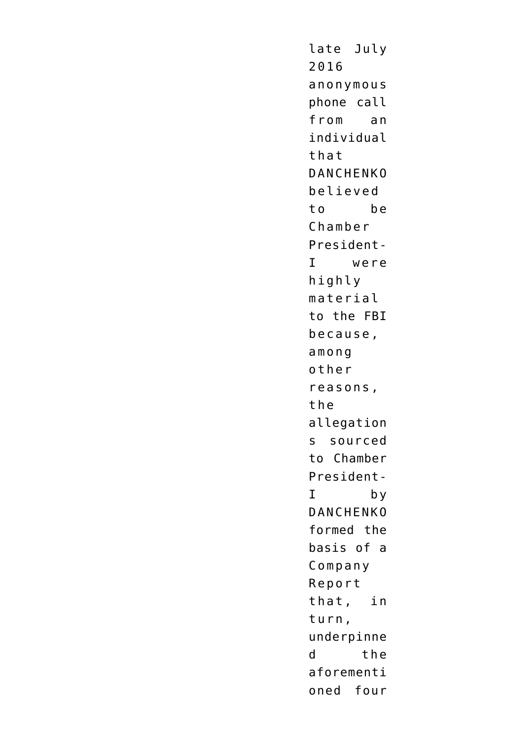late July 2016 anonymous phone call from an individual that DANCHENKO believed to be Chamber President-I were highly material to the FBI because, among other reasons, the allegation s sourced to Chamber President-I by DANCHENKO formed the basis of a Company Report that, in turn, underpinne d the aforementi oned four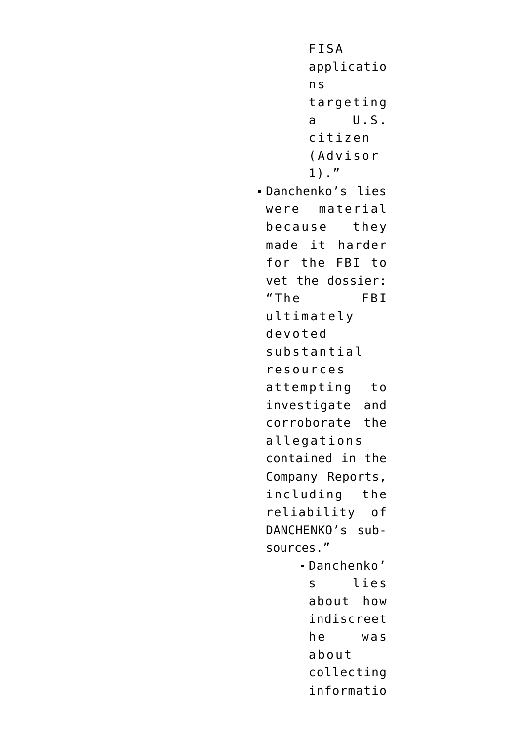```
FISA
      applicatio
      n s
      targeting
      a U.S.
      citizen
      (Advisor
      1)."
Danchenko's lies
 were material
 because they
 made it harder
 for the FBI to
 vet the dossier:
 "The FBI
 ultimately
 devoted
 substantial
 resources
 attempting to
 investigate and
 corroborate the
 allegations
 contained in the
 Company Reports,
 including the
 reliability of
 DANCHENKO's sub-
 sources."
     Danchenko'
      s lies
      about how
      indiscreet
      he was
      about
      collecting
      informatio
```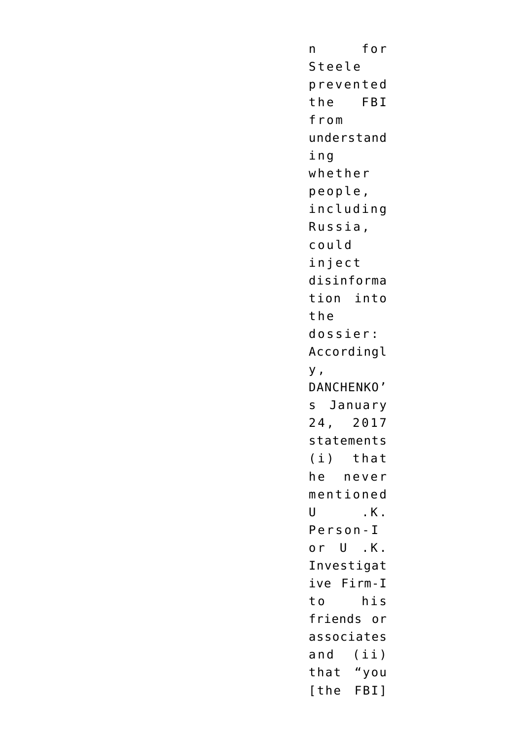n for Steele prevented the FBI from understand ing whether people, including Russia, could inject disinforma tion into the dossier: Accordingl y , DANCHENKO' s January 24, 2017 statements (i) that he never mentioned  $U$ ,  $K$ . Person-I or U .K. Investigat ive Firm-I to his friends or associates and (ii) that "you [the FBI]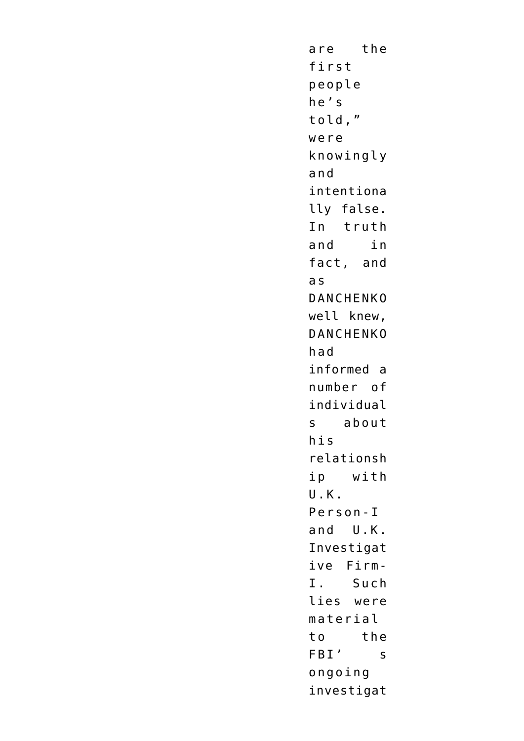are the first people he's told," were knowingly and intentiona lly false. In truth and in fact, and a s DANCHENKO well knew, DANCHENKO had informed a number of individual s about his relationsh ip with U.K. Person-I and U.K. Investigat ive Firm-I. Such lies were material to the FBI' s ongoing investigat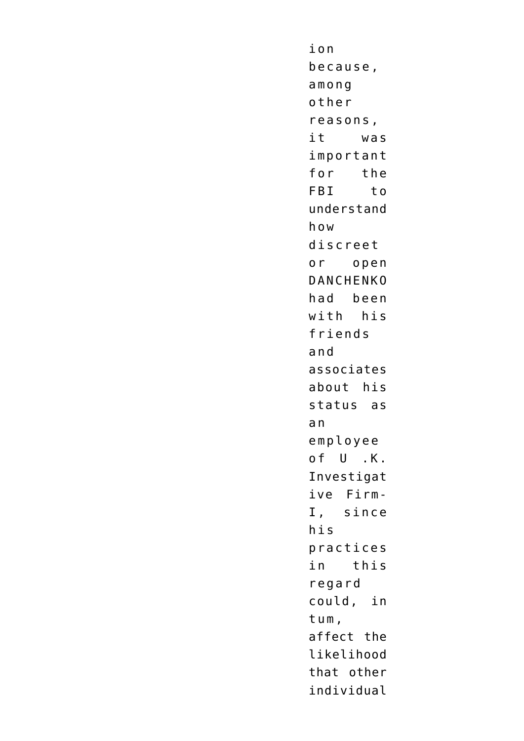ion because, among other reasons, it was important for the FBI to understand how discreet or open DANCHENKO had been with his friends and associates about his status as a n employee of U .K. Investigat ive Firm-I, since his practices in this regard could, in tum, affect the likelihood that other individual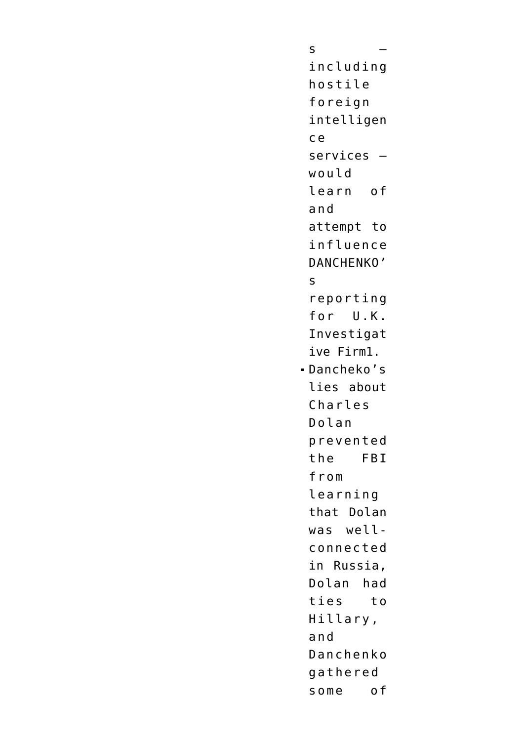s – including hostile foreign intelligen c e services – would learn of and attempt to influence DANCHENKO' s reporting for U.K. Investigat ive Firm1. Dancheko's lies about Charles Dolan prevented the FBI from learning that Dolan was wellconnected in Russia, Dolan had ties to Hillary, and Danchenko gathered some of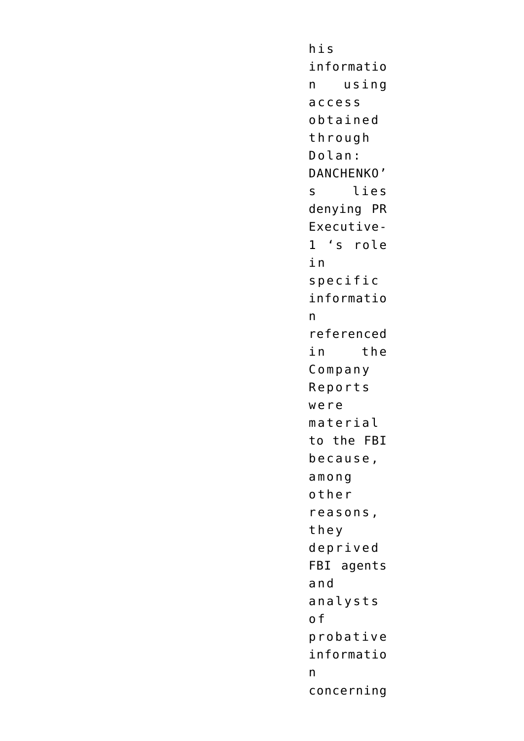his informatio n using access obtained through Dolan: DANCHENKO' s lies denying PR Executive-1 's role i n specific informatio n referenced in the Company Reports were material to the FBI because, among other reasons, they deprived FBI agents and analysts o f probative informatio n concerning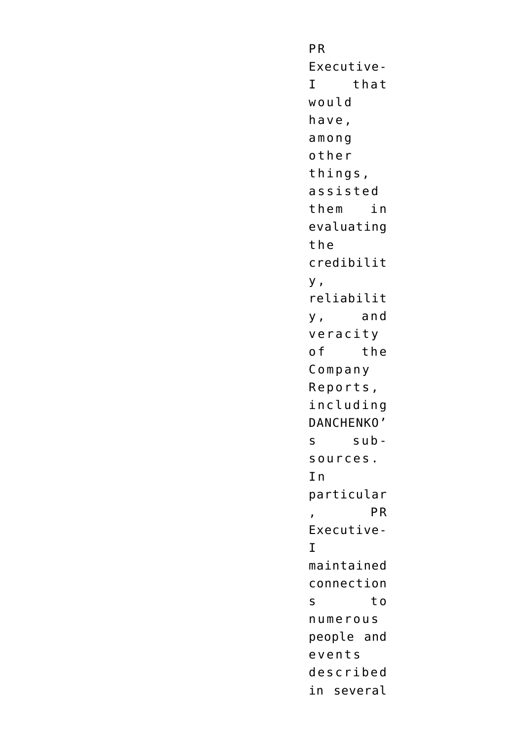P R Executive-I that would have, among other things, assisted them in evaluating the credibilit y , reliabilit y, and veracity of the Company Reports, including DANCHENKO' s subsources.  $In$ particular , PR Executive-I maintained connection s to numerous people and events described in several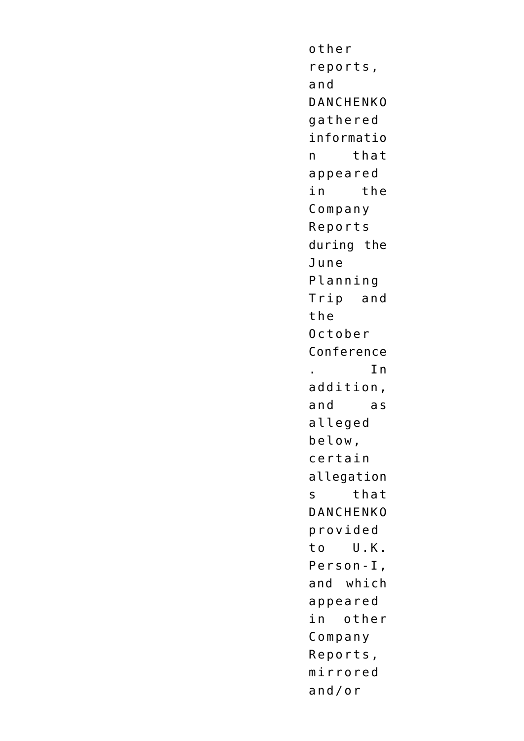other reports, and DANCHENKO gathered informatio n that appeared in the Company Reports during the June Planning Trip and the October Conference . In addition, and as alleged below, certain allegation s that DANCHENKO provided to U.K. Person-I, and which appeared in other Company Reports, mirrored and/or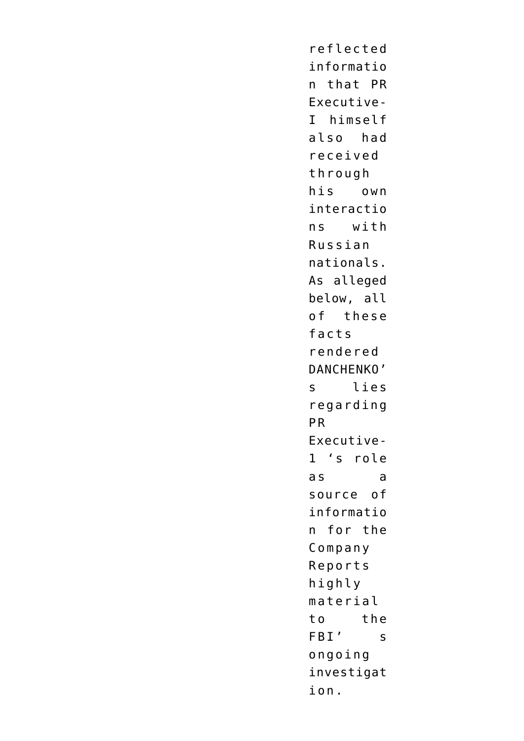reflected informatio n that PR Executive-I himself also had received through his own interactio ns with Russian nationals. As alleged below, all of these facts rendered DANCHENKO' s lies regarding P R Executive-1 's role as a source of informatio n for the Company Reports highly material to the FBI' s ongoing investigat ion.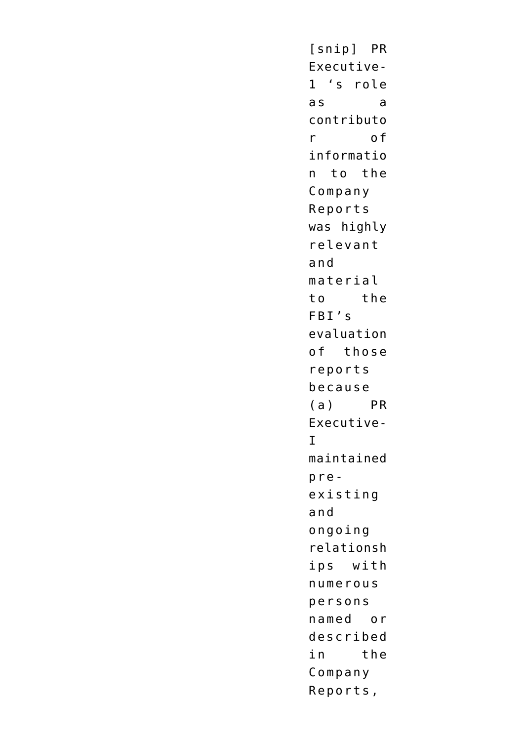[snip] PR Executive-1 's role as a contributo r of informatio n to the Company Reports was highly relevant and material to the FBI's evaluation of those reports because (a) PR Executive-I maintained preexisting and ongoing relationsh ips with numerous persons named or described in the Company Reports,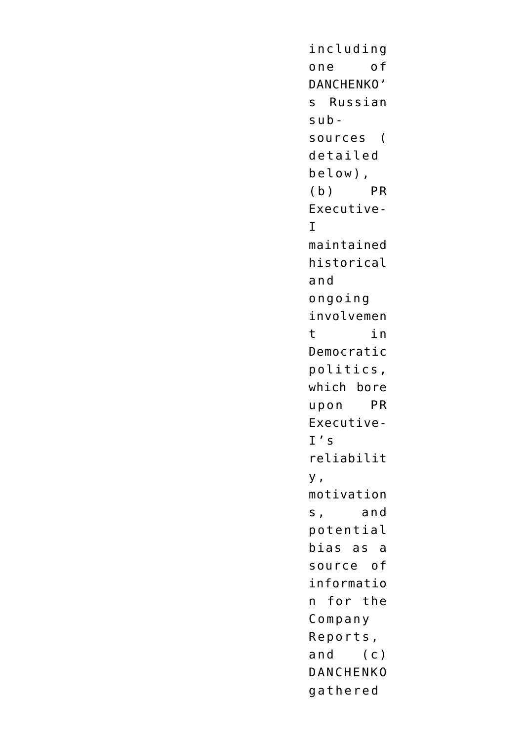including one of DANCHENKO' s Russian subsources ( detailed below), (b) PR Executive- $\mathsf{T}$ maintained historical and ongoing involvemen t in Democratic politics, which bore upon PR Executive- $I' \subset$ reliabilit y , motivation s, and potential bias as a source of informatio n for the Company Reports, and (c) DANCHENKO gathered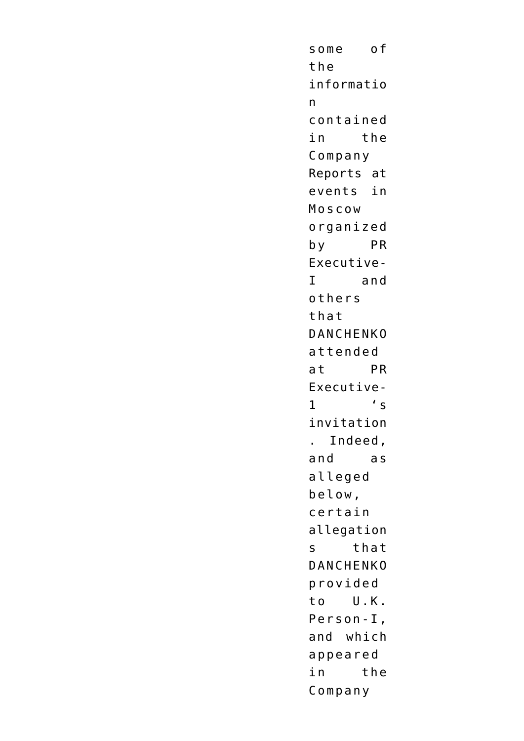some of the informatio n contained in the Company Reports at events in Moscow organized by PR Executive-I and others that DANCHENKO attended at PR Executive- $1'$  's invitation . Indeed, and as alleged below, certain allegation s that DANCHENKO provided to U.K. Person-I, and which appeared in the Company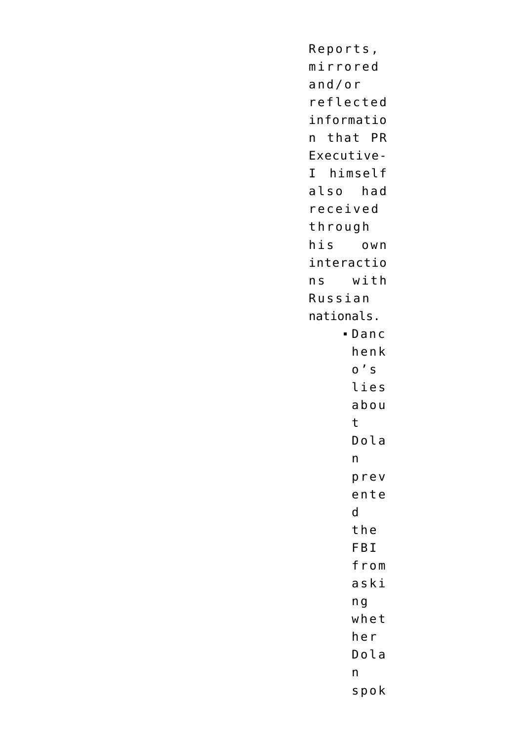Reports, mirrored  $and/or$ reflected informatio n that PR Executive-I himself also had received through his own interactio with  $n<sub>S</sub>$ Russian nationals.  $-Danc$ henk  $0'$  s lies abou  $\mathsf{t}$ Dola  $\mathsf{n}$ prev ente  $\mathsf{d}$ the FBI from aski  $n<sub>g</sub>$ whet her Dola  $n$ spok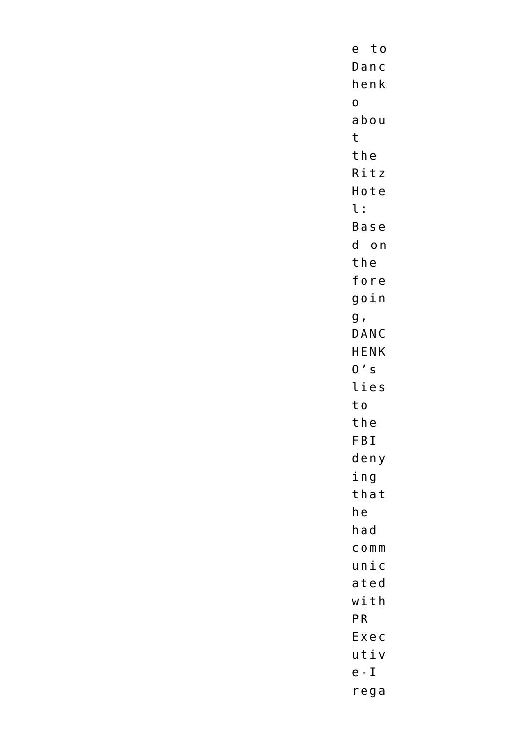e to  $DanC$ henk  $\mathsf{o}$ abou  $\mathsf{t}$ the Ritz Hote  $\iota$ : Base d on the fore goin  $g$  , DANC **HENK**  $0's$ lies to the FBI deny ing that he had  $C$  O  $m$   $m$  $unic$ ated with PR Exec utiv  $e - I$ rega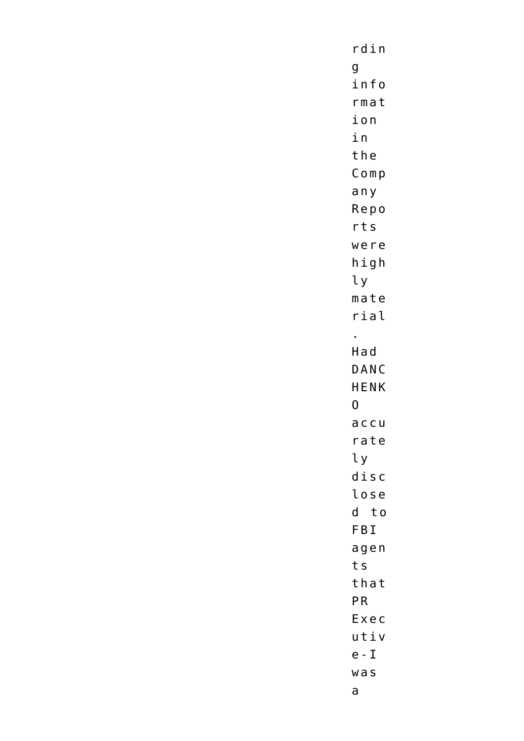$r \, \texttt{d} \, \texttt{in}$  $\mathsf{g}$ info  $rma$ t ion in the  $Comp$ any Repo  $rts$ were  $h$ igh  $ly$  $m$ ate  $righti$  $\mathbf{r}^{\mathrm{obs}}$  $H$ ad DANC **HENK**  $\overline{0}$  $accu$ rate ly  $disc$ lose d to FBI agen ts that PR Exec utiv  $e - I$  $w$ as  $\mathsf{a}$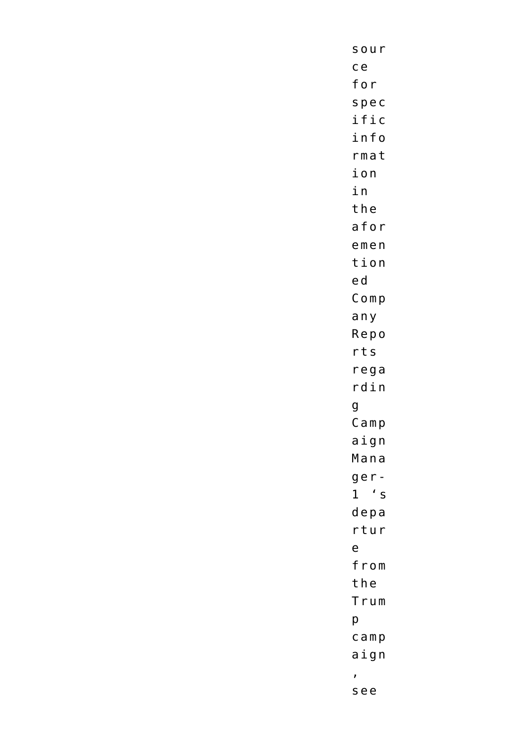sour  $ce$ for spec ific info  $rma$ t ion in the afor  $emen$ tion ed  $Comp$ any Repo  $rts$  $rega$  $r \, \mathtt{din}$  $\mathsf{g}$  $Camp$ aign Mana  $ge r 1 's$  $depa$ rtur  $\mathsf{e}$ from the Trum  $p$  $c$  amp  $a$ ign  $\bar{z}$ see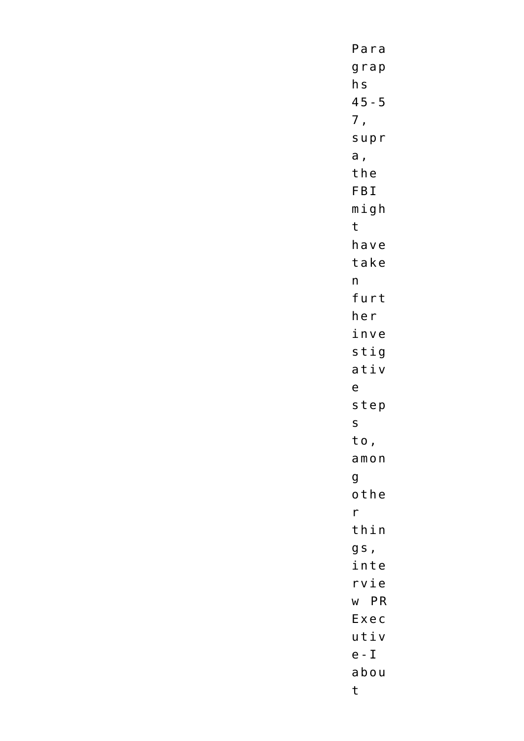Para  $grap$  $h<sub>S</sub>$  $45 - 5$  $7,$ supr  $a,$ the FBI  $m i g h$  $t$ have take  $n$ furt her inve stig ativ  $\mathsf{e}$ step  $\mathsf{S}$ to,  $amon$  $\mathsf{g}$ othe  $\mathsf{r}$  $th$ in gs, inte rvie w PR Exec  $u \, t \, i \, v$  $e - I$ abou  $\mathsf{t}$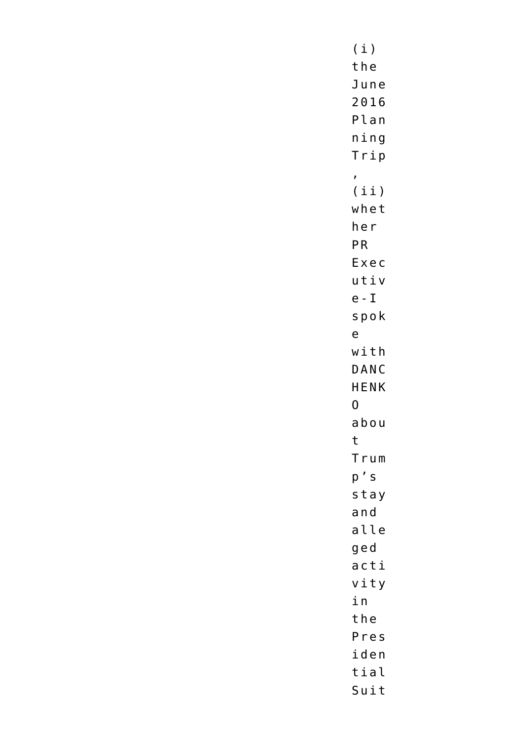$(i)$ the June 2016 Plan  $n$ ing Trip  $\mathbf{r}$  $(iii)$ whet her PR Exec utiv  $e - I$ spok  $\mathsf{e}$  $width$ DANC **HENK**  $\overline{0}$ abou  $\mathsf{t}$ Trum  $p' s$ stay and alle ged acti vity in the Pres iden tial Suit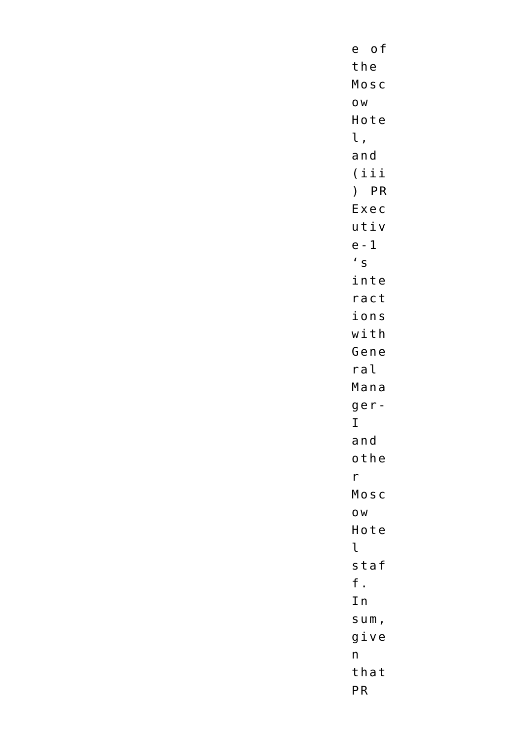e of the Mosc 0W Hote l, and  $(iii)$ ) PR Exec utiv  $e - 1$  $\prime$  s inte ract ions  $width$ Gene  $ral$ Mana  $ge r \mathbf{I}$ and othe  $r$ Mosc 0W Hote  $\mathfrak{r}$ staf  $f$ . In  $sum,$  $g$ ive  $n$ that  ${\sf PR}$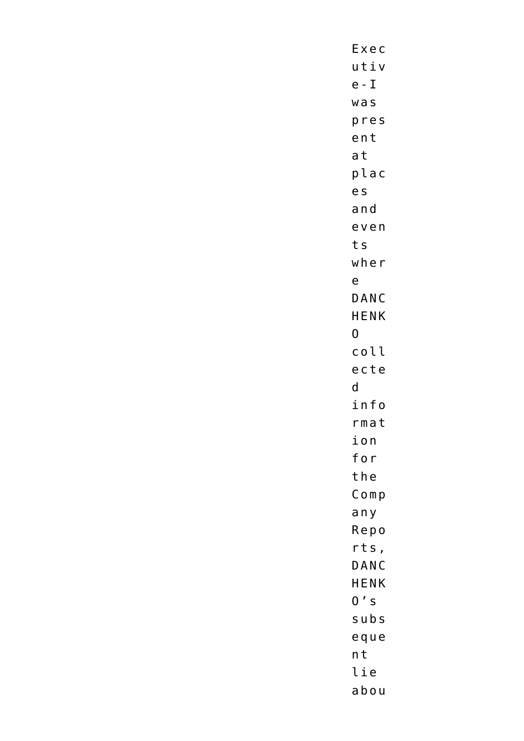Exec  $u t i v$  $e - I$  $w$  as pres ent at plac e s  $a<sub>n</sub>d$ even ts  $w$ her  $\mathsf{e}$ DANC HENK  $\overline{0}$ coll ecte  $\mathsf{d}$ info  $rma$ t ion for the  $Comp$ any Repo  $rts$ , DANC HENK  $0's$ subs eque  $n t$ lie abou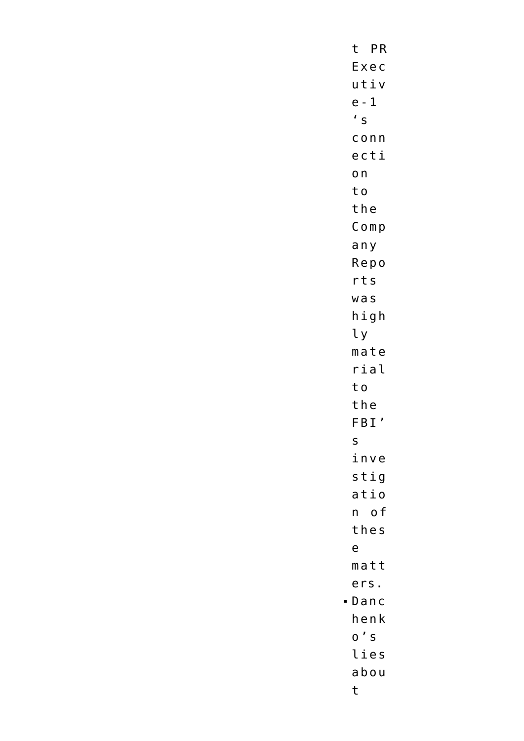t PR Exec utiv  $e - 1$  $\prime$  s  $c$  onn ecti  $\mathsf{on}$ to the  $Comp$ any Repo  $rts$  $w$  as  $h$ igh  $\iota$  $m$ ate rial to the FBI'  $\mathsf{s}$ inve stig  $atio$ n of thes  $\mathsf{e}$  $m$ att ers. henk  $0'$  S lies abou  $\mathsf{t}$ 

 $-Danc$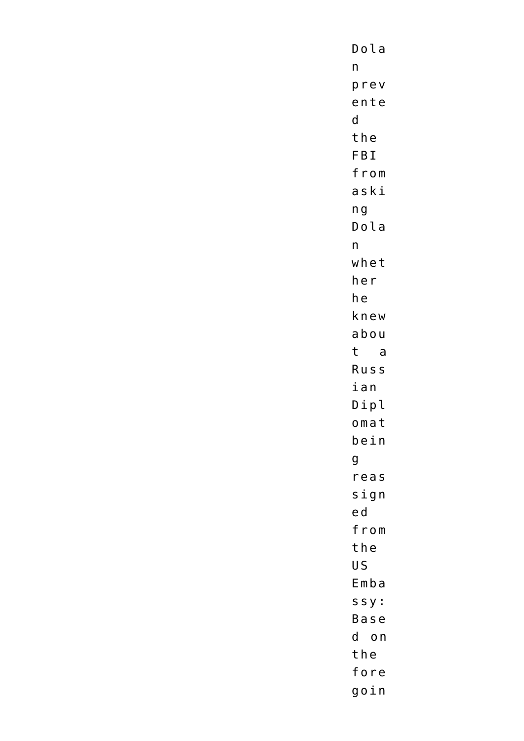$Dola$  $n$ prev ente  $\mathsf{d}$ the FBI from aski  $n<sub>g</sub>$ Dola  $n$ whet her he knew abou t a Russ ian Dipl omat  $bein$  $\mathsf{g}$ reas  $s$ ign ed from the **US**  $Emba$  $s s y$ : Base d on the fore goin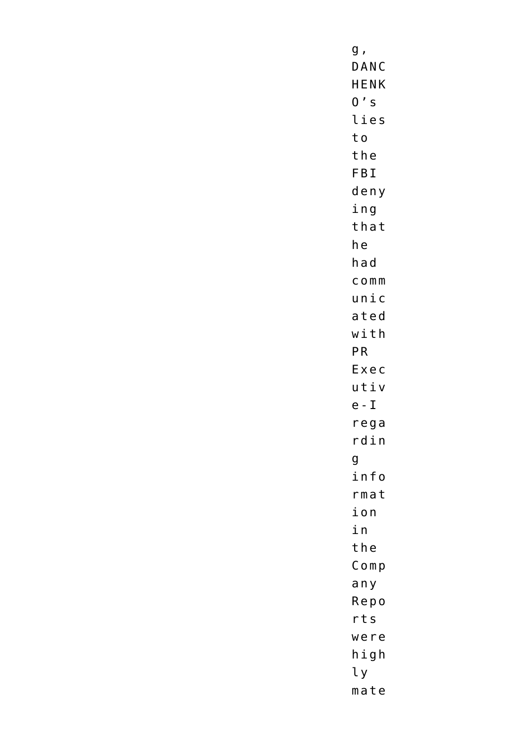$g$  , DANC **HENK**  $0's$ lies to the FBI deny ing that he had  $C$  O  $m m$  $unic$ ated  $width$ PR Exec utiv  $e - I$  $rega$  $rdin$  $\mathsf{g}$ info  $rma$ t ion in the  $Comp$ any Repo  $rts$ were high  $l y$  $m$  at e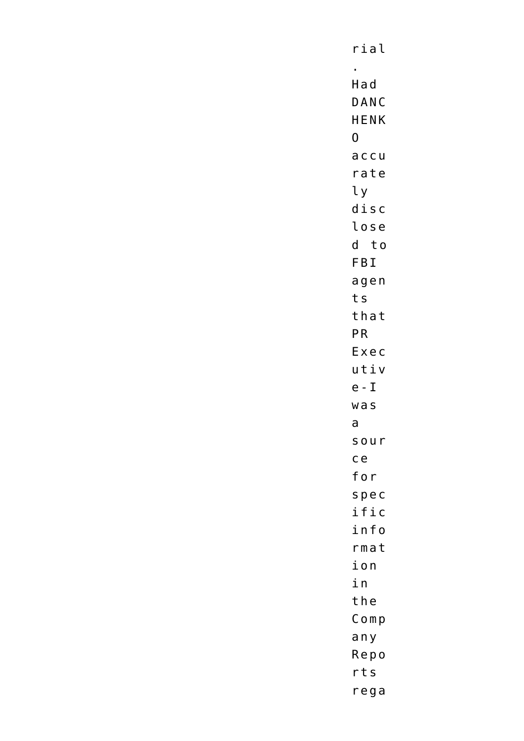rial  $\mathbf{r}^{\left(1\right)}$ Had DANC **HENK**  $\overline{0}$  $accu$ rate  $l y$  $d$ *isc* lose d to FBI agen ts that PR Exec  $u t i v$  $e - I$  $WaS$  $\mathsf{a}$ sour  $ce$ for spec ific info  $rma$ t ion in the  $Comp$ any Repo  $rts$  $rega$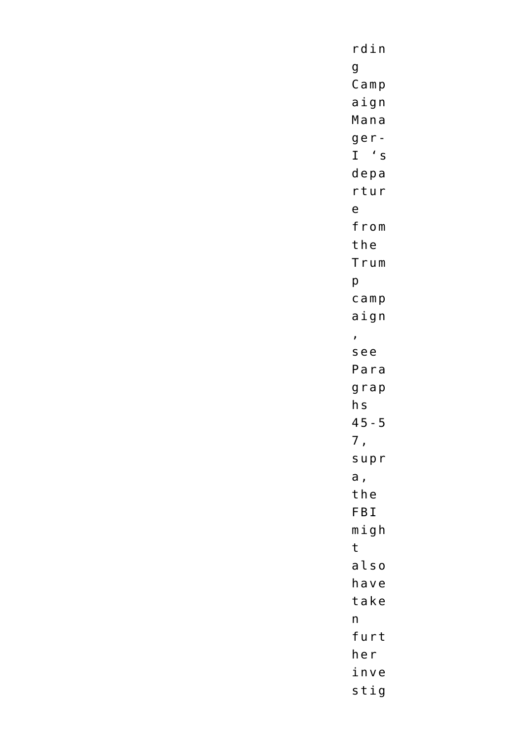$r \ddot$ in  $\mathsf g$  $C$  amp aign Mana  $ge r I$  's depa rtur  $\mathsf{e}$ from the Trum  $\mathsf{p}% _{T}=\mathsf{p}_{T}$  $c$  amp aign  $\mathbf{r}$ see Para  $grap$  $h<sub>S</sub>$  $45 - 5$  $7,$ supr a, the FBI  $m$ igh  $\mathsf{t}$  $a$ lso have take  $n$ furt her inve stig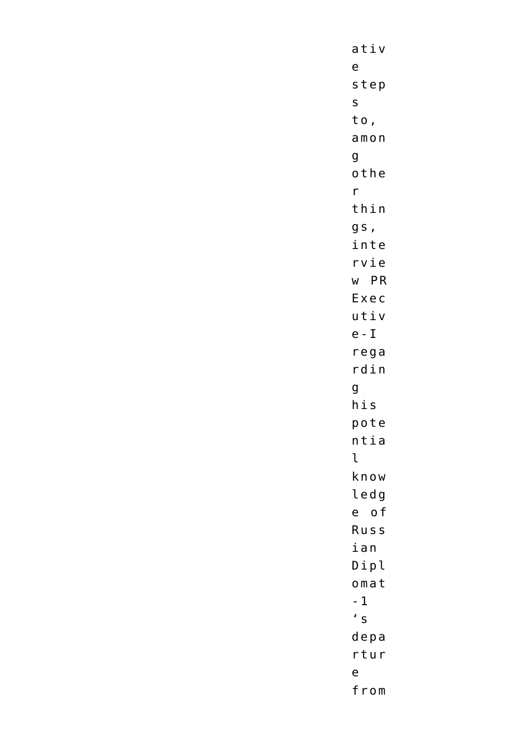$ativ$  $\mathsf{e}\,$ step  $\mathsf{s}$ to,  $amon$  $\mathbf g$ othe  $\mathsf{r}$ thin  $gs,$ inte rvie w PR Exec utiv  $e - I$  $rega$ rdin  $\mathsf{g}$  $h$ is pote  $n$ tia  $\mathfrak{r}$ know ledg e of Russ ian Dipl  $omat$  $-1$  $\prime$  s depa rtur  $\mathsf{e}$ from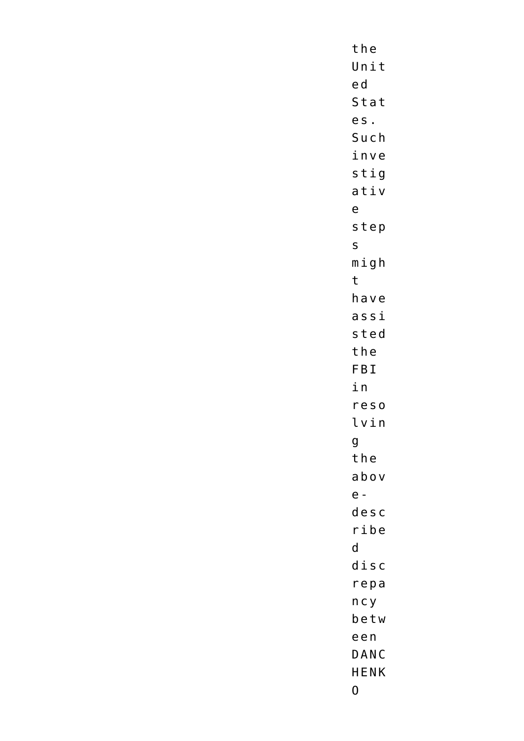the Unit ed Stat es. Such inve  $s$ tig ativ  $\mathsf{e}$ step  $\mathsf{S}$  $m i g h$  $\mathbf t$ have  $a s s i$ sted the FBI in  $reso$ lvin  $\mathsf g$ the abov  $e$ desc  $righte$  $\mathsf{d}$  $d$ *isc* repa  $n c y$ betw een DANC HENK  $\pmb{0}$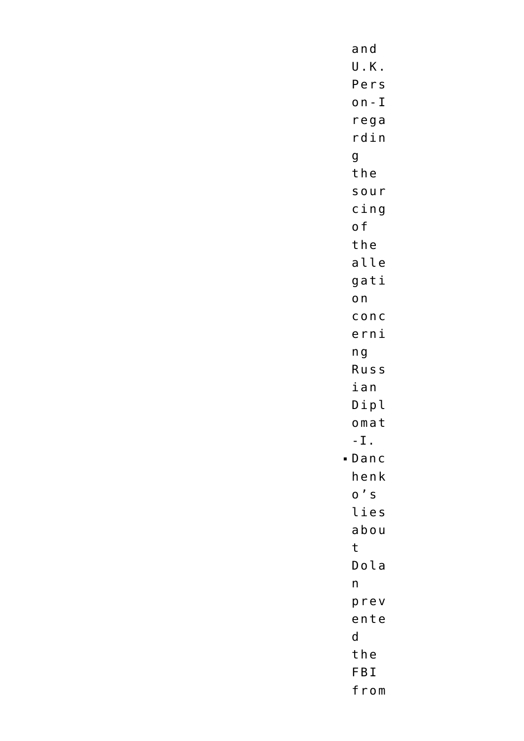and U.K. Pers  $on - I$ rega rdin  $\mathbf g$ the sour  $c$ ing o f the alle gati  $o<sub>n</sub>$  $C$  O  $nC$ erni  $n<sub>g</sub>$ Russ ian Dipl omat  $-L$ .  $-Danc$ henk  $0'$  S lies abou  $\mathsf{t}$  $D$ ola  $n$ prev ente  $\mathsf{d}$ the FBI from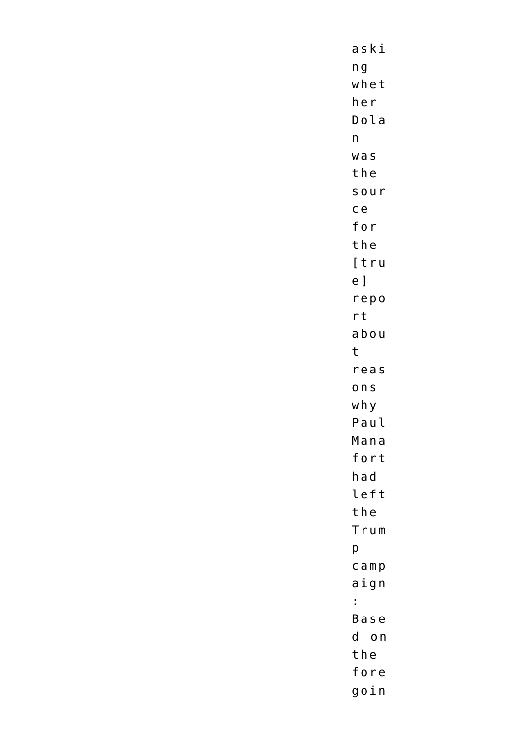aski  $n<sub>g</sub>$ whet her Dola  $n$  $w$  as the sour  $ce$ for the [tru  $e$ ] repo  $rt$ abou  $\mathbf{t}$ reas ons why Paul Mana fort had left the Trum  $\mathsf{p}% _{T}\left( t\right) \equiv\mathsf{p}_{T}\left( t\right)$  $c$  amp aign  $\mathbb{R}^{\mathbb{Z}}$ Base d on the fore goin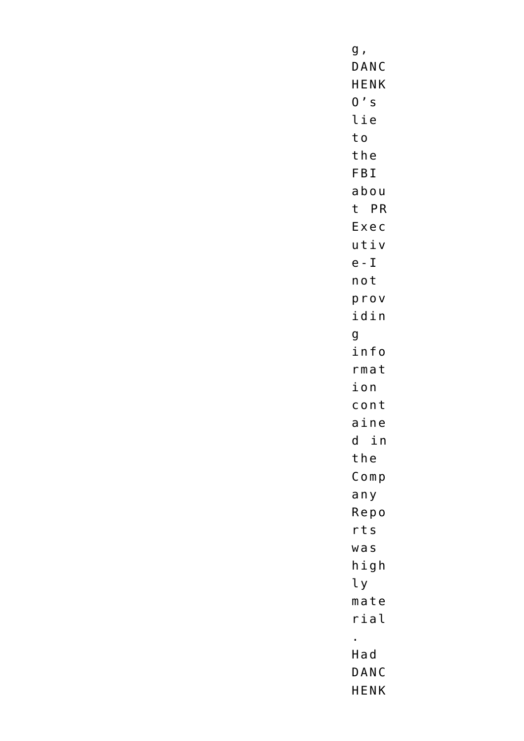$g$  , DANC **HENK**  $0's$ lie to the FBI abou t PR Exec utiv  $e - I$ not prov idin  $\mathbf{g}$ info rmat ion cont aine  $d$  in the  $Comp$ any Repo  $rts$  $w$  as  $h$ igh ly  $m$ ate rial  $\mathbf{r}$ Had DANC **HENK**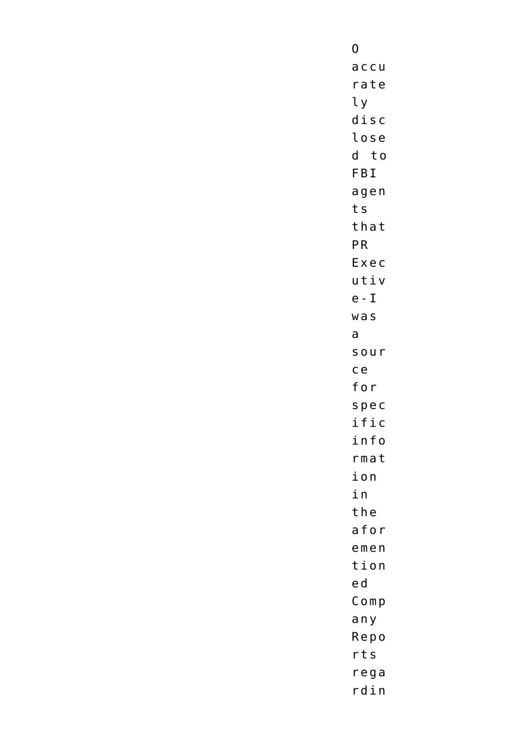$\overline{0}$  $a$  c c  $u$ rate ly  $d$ isc lose d to FBI agen ts that PR Exec utiv  $e - I$  $WaS$  $\mathsf{a}$ sour  $ce$ for spec ific info  $rma$ t ion in the afor  $emen$ tion ed  $Comp$ any Repo  $rts$ rega  $r \, \mathtt{d} \, \mathtt{i} \, \mathtt{n}$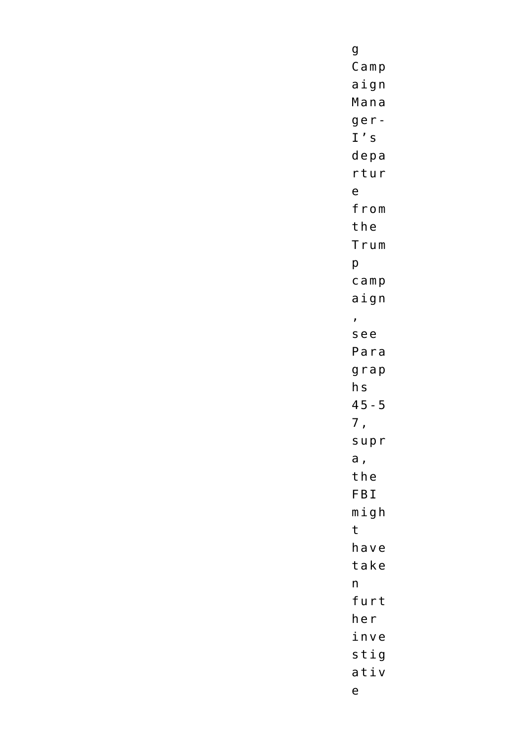$\boldsymbol{g}$  $C$  amp aign Mana  $ge r I' s$  $depa$ rtur  $\mathsf{e}$ from the Trum  $\mathsf{p}$  $c$  amp aign  $\mathbf{r}$ see Para  $grap$  $h<sub>S</sub>$  $45 - 5$  $7,$ supr  $a,$ the FBI  $m$ igh  $\mathsf{t}$ have take  $n$ furt her  $i$ n v e stig ativ  $\mathsf{e}% _{t}\left( t\right)$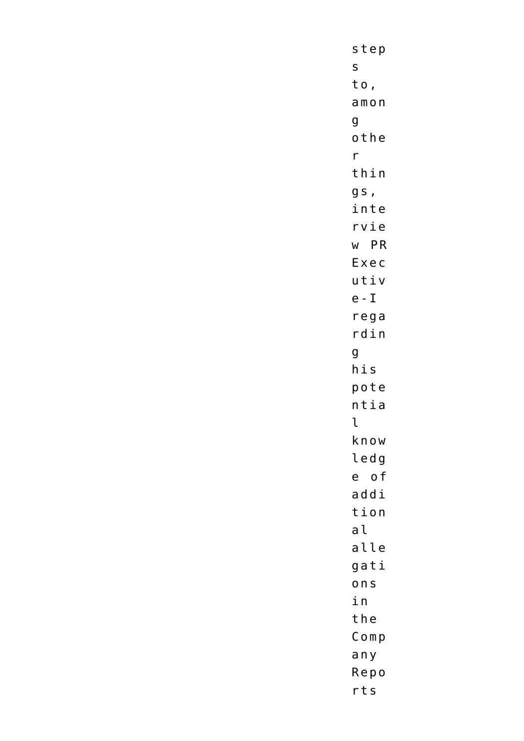step  $\mathsf{S}$ to,  $amon$  $\mathsf{g}$ othe  $\mathsf{r}$ thin gs, inte rvie w PR Exec utiv  $e - I$  $rega$  $r \ddot$ in  $\mathsf{g}$  $h$ is pote  $n$ tia  $\mathfrak{t}$ know ledg e of addi tion  $a<sub>l</sub>$ alle gati ons in the  $Comp$ any Repo  $rts$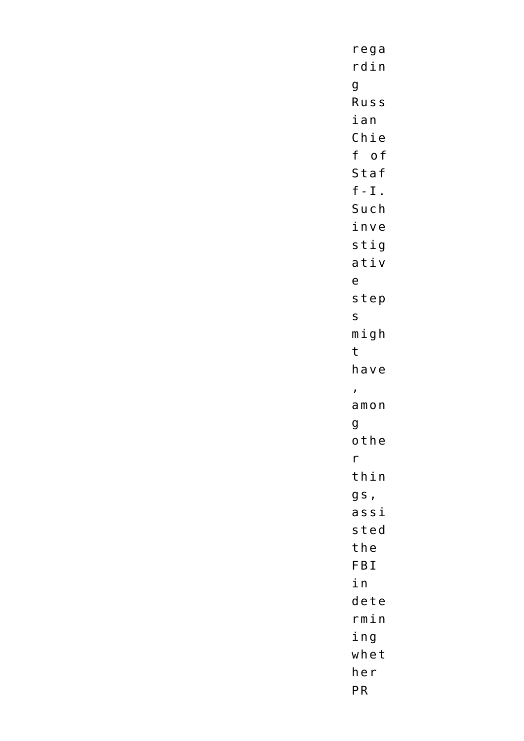$rega$  $r \, \mathtt{din}$  $\mathsf g$ Russ ian  $Chie$ f of Staf  $f - I$ . Such inve  $s$ tig ativ  $\mathsf{e}$ step  $\mathsf{s}$  $m$ igh  $\mathsf{t}$ have  $\mathbf{r}$  $amon$  $\mathsf{g}$ othe  $r$ thin gs,  $a s s i$ sted the FBI in dete  $rmin$ ing whet her  ${\sf PR}$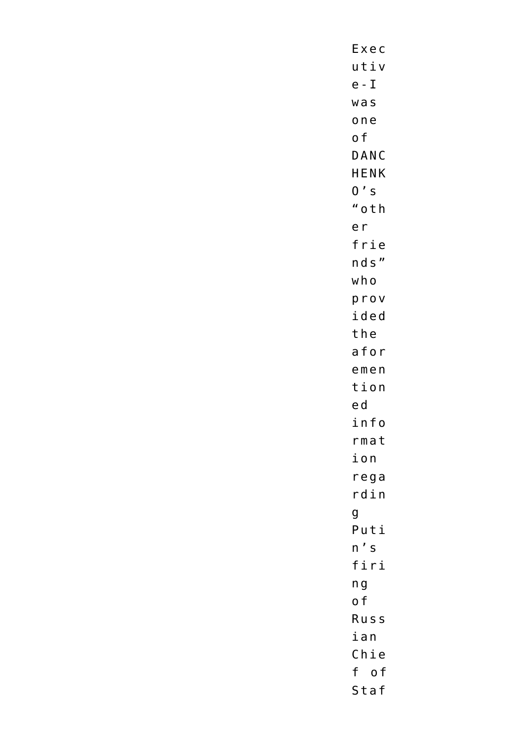Exec utiv  $e - I$  $w$  as one o f DANC HENK  $0's$ "oth e r frie nds" who prov ided the afor  $emen$ tion ed info  $rma$ t ion  $rega$  $r \, \texttt{d} \, \texttt{i} \, \texttt{n}$ g Puti  $n' s$ firi  $n<sub>g</sub>$ o f Russ ian  $Chie$ f of Staf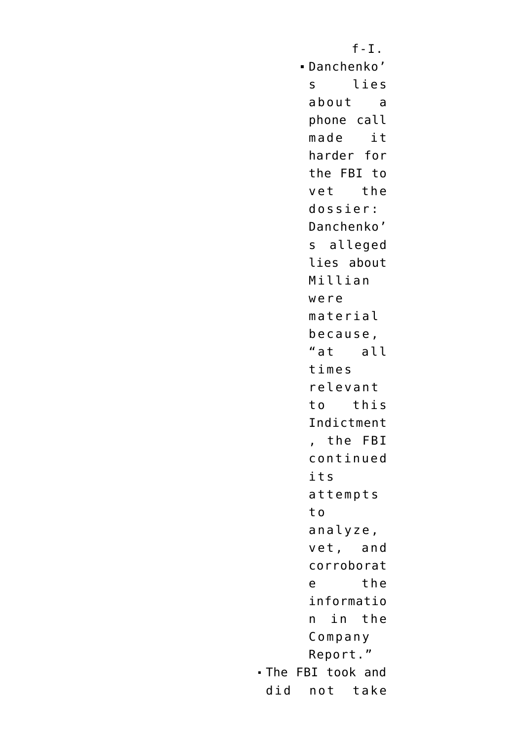$f-I.$ Danchenko' s lies about a phone call made it harder for the FBI to vet the dossier: Danchenko' s alleged lies about Millian were material because, "at all times relevant to this Indictment , the FBI continued its attempts t o analyze, vet, and corroborat e the informatio n in the Company Report." The FBI took and did not take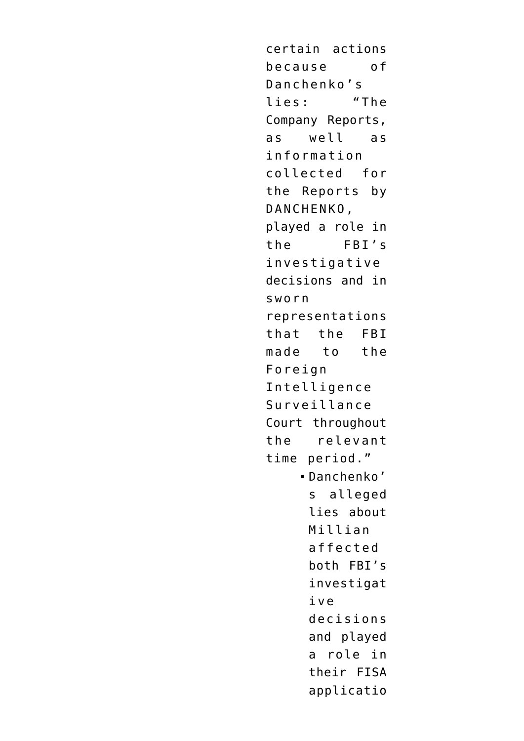certain actions because of Danchenko's lies: "The Company Reports, as well as information collected for the Reports by DANCHENKO, played a role in the FBI's investigative decisions and in sworn representations that the FBI made to the Foreign Intelligence Surveillance Court throughout the relevant time period." Danchenko' s alleged lies about Millian affected both FBI's investigat ive decisions and played a role in their FISA applicatio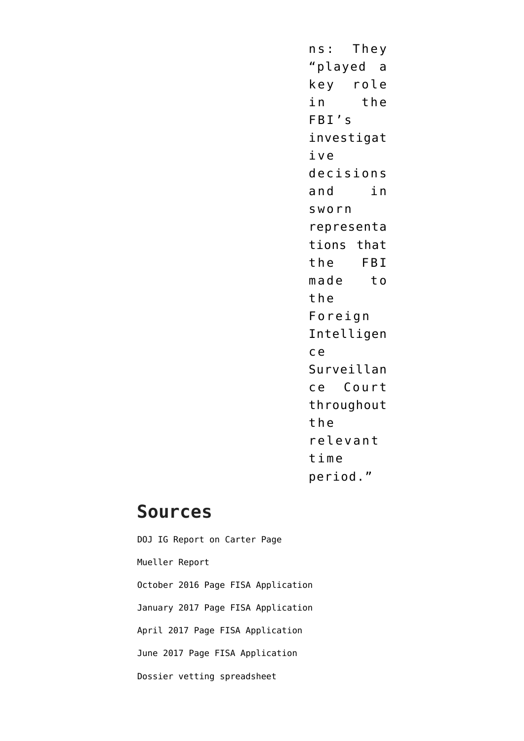n s: They "played a key role in the FBI's investigat ive decisions and in sworn representa tions that the FBI made to the Foreign Intelligen c e Surveillan ce Court throughout the relevant time period."

#### **Sources**

[DOJ IG Report on Carter Page](https://www.justice.gov/storage/120919-examination.pdf) [Mueller Report](https://www.documentcloud.org/documents/6002293-190322-Redacted-Mueller-Report#document/p102/a2064932) [October 2016 Page FISA Application](https://www.documentcloud.org/documents/6842432-161021-Carter-Page-FISA-Application) [January 2017 Page FISA Application](https://www.documentcloud.org/documents/6842433-170112-Carter-Page-FISA-Application) [April 2017 Page FISA Application](https://www.documentcloud.org/documents/6842434-170407-Carter-Page-FISA-Application) [June 2017 Page FISA Application](https://www.documentcloud.org/documents/6842430-170629-Carter-Page-FISA-Application) [Dossier vetting spreadsheet](https://www.documentcloud.org/documents/20396375-201013-steele-spreadsheet-1)